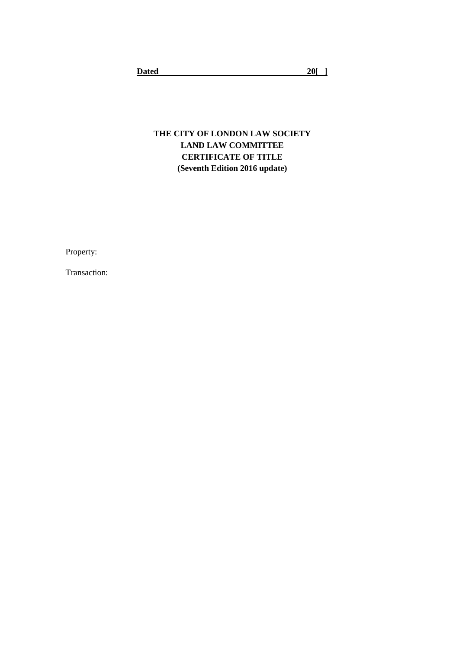# **THE CITY OF LONDON LAW SOCIETY LAND LAW COMMITTEE CERTIFICATE OF TITLE (Seventh Edition 2016 update)**

Property:

Transaction: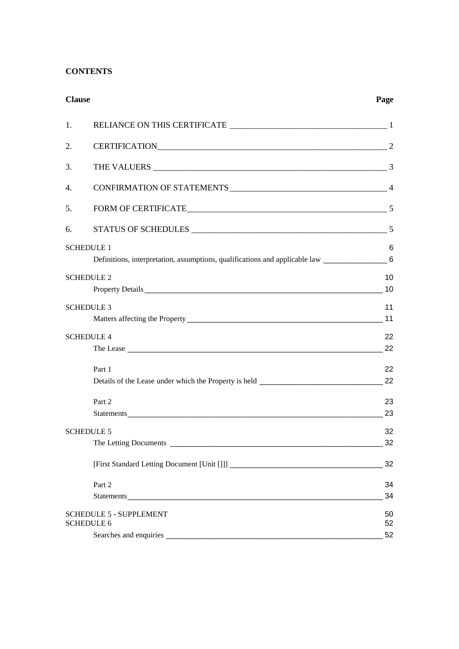# **CONTENTS**

| <b>Clause</b>                  | Page |
|--------------------------------|------|
| 1.                             |      |
| 2.                             |      |
| 3.                             |      |
| 4.                             |      |
| 5.<br>FORM OF CERTIFICATE 5    |      |
| 6.                             |      |
| <b>SCHEDULE 1</b>              | 6    |
|                                |      |
| <b>SCHEDULE 2</b>              | 10   |
|                                | 10   |
| <b>SCHEDULE 3</b>              | 11   |
|                                | 11   |
| <b>SCHEDULE 4</b>              | 22   |
|                                | 22   |
| Part 1                         | 22   |
|                                | 22   |
| Part 2                         | 23   |
|                                | 23   |
| <b>SCHEDULE 5</b>              | 32   |
|                                | 32   |
|                                | 32   |
| Part 2                         | 34   |
|                                | 34   |
| <b>SCHEDULE 5 - SUPPLEMENT</b> | 50   |
| <b>SCHEDULE 6</b>              | 52   |
|                                | 52   |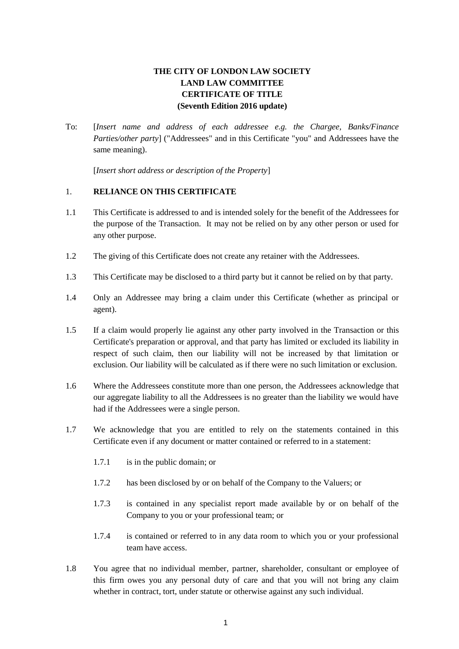# **THE CITY OF LONDON LAW SOCIETY LAND LAW COMMITTEE CERTIFICATE OF TITLE (Seventh Edition 2016 update)**

To: [*Insert name and address of each addressee e.g. the Chargee, Banks/Finance Parties/other party*] ("Addressees" and in this Certificate "you" and Addressees have the same meaning).

[*Insert short address or description of the Property*]

# <span id="page-2-0"></span>1. **RELIANCE ON THIS CERTIFICATE**

- 1.1 This Certificate is addressed to and is intended solely for the benefit of the Addressees for the purpose of the Transaction. It may not be relied on by any other person or used for any other purpose.
- 1.2 The giving of this Certificate does not create any retainer with the Addressees.
- 1.3 This Certificate may be disclosed to a third party but it cannot be relied on by that party.
- 1.4 Only an Addressee may bring a claim under this Certificate (whether as principal or agent).
- 1.5 If a claim would properly lie against any other party involved in the Transaction or this Certificate's preparation or approval, and that party has limited or excluded its liability in respect of such claim, then our liability will not be increased by that limitation or exclusion. Our liability will be calculated as if there were no such limitation or exclusion.
- 1.6 Where the Addressees constitute more than one person, the Addressees acknowledge that our aggregate liability to all the Addressees is no greater than the liability we would have had if the Addressees were a single person.
- 1.7 We acknowledge that you are entitled to rely on the statements contained in this Certificate even if any document or matter contained or referred to in a statement:
	- 1.7.1 is in the public domain; or
	- 1.7.2 has been disclosed by or on behalf of the Company to the Valuers; or
	- 1.7.3 is contained in any specialist report made available by or on behalf of the Company to you or your professional team; or
	- 1.7.4 is contained or referred to in any data room to which you or your professional team have access.
- 1.8 You agree that no individual member, partner, shareholder, consultant or employee of this firm owes you any personal duty of care and that you will not bring any claim whether in contract, tort, under statute or otherwise against any such individual.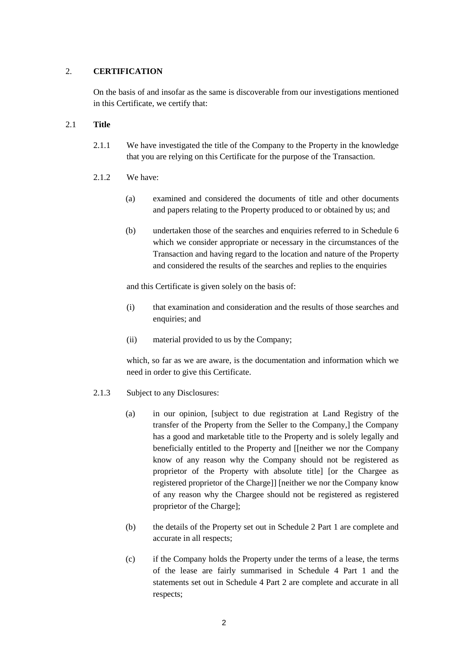# <span id="page-3-0"></span>2. **CERTIFICATION**

On the basis of and insofar as the same is discoverable from our investigations mentioned in this Certificate, we certify that:

# 2.1 **Title**

- 2.1.1 We have investigated the title of the Company to the Property in the knowledge that you are relying on this Certificate for the purpose of the Transaction.
- 2.1.2 We have:
	- (a) examined and considered the documents of title and other documents and papers relating to the Property produced to or obtained by us; and
	- (b) undertaken those of the searches and enquiries referred to in Schedule 6 which we consider appropriate or necessary in the circumstances of the Transaction and having regard to the location and nature of the Property and considered the results of the searches and replies to the enquiries

and this Certificate is given solely on the basis of:

- (i) that examination and consideration and the results of those searches and enquiries; and
- (ii) material provided to us by the Company;

which, so far as we are aware, is the documentation and information which we need in order to give this Certificate.

- 2.1.3 Subject to any Disclosures:
	- (a) in our opinion, [subject to due registration at Land Registry of the transfer of the Property from the Seller to the Company,] the Company has a good and marketable title to the Property and is solely legally and beneficially entitled to the Property and [[neither we nor the Company know of any reason why the Company should not be registered as proprietor of the Property with absolute title] [or the Chargee as registered proprietor of the Charge]] [neither we nor the Company know of any reason why the Chargee should not be registered as registered proprietor of the Charge];
	- (b) the details of the Property set out in Schedule 2 Part 1 are complete and accurate in all respects;
	- (c) if the Company holds the Property under the terms of a lease, the terms of the lease are fairly summarised in Schedule 4 Part 1 and the statements set out in Schedule 4 Part 2 are complete and accurate in all respects;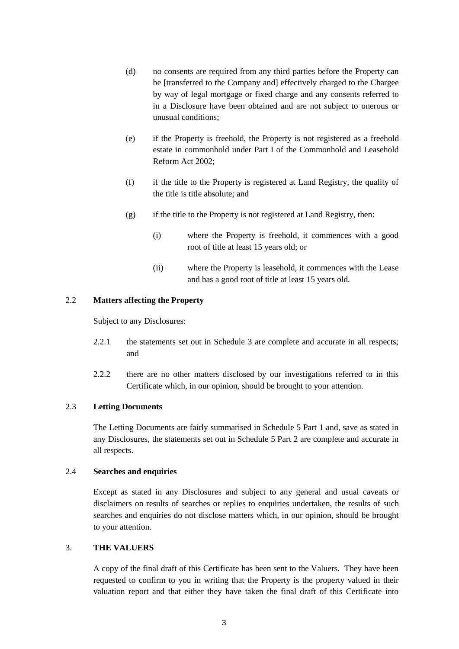- (d) no consents are required from any third parties before the Property can be [transferred to the Company and] effectively charged to the Chargee by way of legal mortgage or fixed charge and any consents referred to in a Disclosure have been obtained and are not subject to onerous or unusual conditions;
- (e) if the Property is freehold, the Property is not registered as a freehold estate in commonhold under Part I of the Commonhold and Leasehold Reform Act 2002;
- (f) if the title to the Property is registered at Land Registry, the quality of the title is title absolute; and
- (g) if the title to the Property is not registered at Land Registry, then:
	- (i) where the Property is freehold, it commences with a good root of title at least 15 years old; or
	- (ii) where the Property is leasehold, it commences with the Lease and has a good root of title at least 15 years old.

# 2.2 **Matters affecting the Property**

Subject to any Disclosures:

- 2.2.1 the statements set out in Schedule 3 are complete and accurate in all respects; and
- 2.2.2 there are no other matters disclosed by our investigations referred to in this Certificate which, in our opinion, should be brought to your attention.

#### 2.3 **Letting Documents**

The Letting Documents are fairly summarised in Schedule 5 Part 1 and, save as stated in any Disclosures, the statements set out in Schedule 5 Part 2 are complete and accurate in all respects.

# 2.4 **Searches and enquiries**

Except as stated in any Disclosures and subject to any general and usual caveats or disclaimers on results of searches or replies to enquiries undertaken, the results of such searches and enquiries do not disclose matters which, in our opinion, should be brought to your attention.

#### <span id="page-4-0"></span>3. **THE VALUERS**

A copy of the final draft of this Certificate has been sent to the Valuers. They have been requested to confirm to you in writing that the Property is the property valued in their valuation report and that either they have taken the final draft of this Certificate into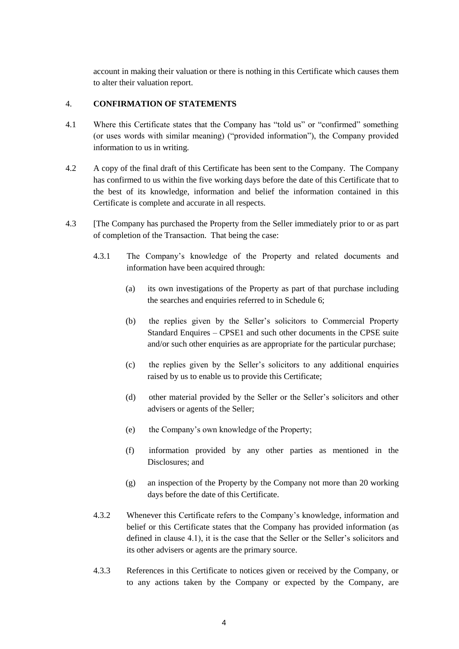account in making their valuation or there is nothing in this Certificate which causes them to alter their valuation report.

# <span id="page-5-0"></span>4. **CONFIRMATION OF STATEMENTS**

- 4.1 Where this Certificate states that the Company has "told us" or "confirmed" something (or uses words with similar meaning) ("provided information"), the Company provided information to us in writing.
- 4.2 A copy of the final draft of this Certificate has been sent to the Company. The Company has confirmed to us within the five working days before the date of this Certificate that to the best of its knowledge, information and belief the information contained in this Certificate is complete and accurate in all respects.
- 4.3 [The Company has purchased the Property from the Seller immediately prior to or as part of completion of the Transaction. That being the case:
	- 4.3.1 The Company's knowledge of the Property and related documents and information have been acquired through:
		- (a) its own investigations of the Property as part of that purchase including the searches and enquiries referred to in Schedule 6;
		- (b) the replies given by the Seller's solicitors to Commercial Property Standard Enquires – CPSE1 and such other documents in the CPSE suite and/or such other enquiries as are appropriate for the particular purchase;
		- (c) the replies given by the Seller's solicitors to any additional enquiries raised by us to enable us to provide this Certificate;
		- (d) other material provided by the Seller or the Seller's solicitors and other advisers or agents of the Seller;
		- (e) the Company's own knowledge of the Property;
		- (f) information provided by any other parties as mentioned in the Disclosures: and
		- (g) an inspection of the Property by the Company not more than 20 working days before the date of this Certificate.
	- 4.3.2 Whenever this Certificate refers to the Company's knowledge, information and belief or this Certificate states that the Company has provided information (as defined in clause 4.1), it is the case that the Seller or the Seller's solicitors and its other advisers or agents are the primary source.
	- 4.3.3 References in this Certificate to notices given or received by the Company, or to any actions taken by the Company or expected by the Company, are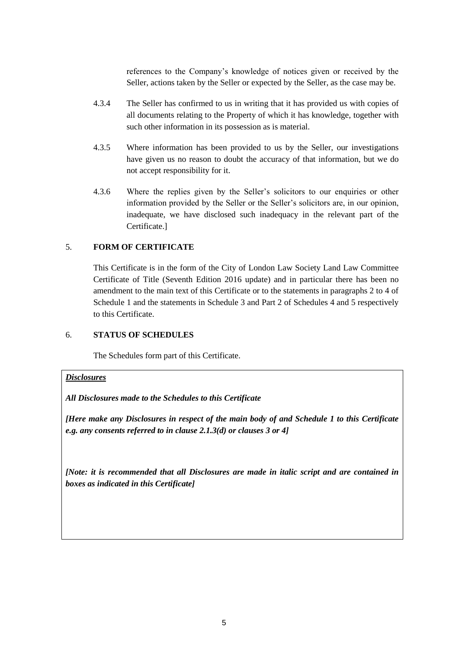references to the Company's knowledge of notices given or received by the Seller, actions taken by the Seller or expected by the Seller, as the case may be.

- 4.3.4 The Seller has confirmed to us in writing that it has provided us with copies of all documents relating to the Property of which it has knowledge, together with such other information in its possession as is material.
- 4.3.5 Where information has been provided to us by the Seller, our investigations have given us no reason to doubt the accuracy of that information, but we do not accept responsibility for it.
- 4.3.6 Where the replies given by the Seller's solicitors to our enquiries or other information provided by the Seller or the Seller's solicitors are, in our opinion, inadequate, we have disclosed such inadequacy in the relevant part of the Certificate.]

# <span id="page-6-0"></span>5. **FORM OF CERTIFICATE**

This Certificate is in the form of the City of London Law Society Land Law Committee Certificate of Title (Seventh Edition 2016 update) and in particular there has been no amendment to the main text of this Certificate or to the statements in paragraphs 2 to 4 of Schedule 1 and the statements in Schedule 3 and Part 2 of Schedules 4 and 5 respectively to this Certificate.

# <span id="page-6-1"></span>6. **STATUS OF SCHEDULES**

The Schedules form part of this Certificate.

#### *Disclosures*

*All Disclosures made to the Schedules to this Certificate*

*[Here make any Disclosures in respect of the main body of and Schedule 1 to this Certificate e.g. any consents referred to in clause 2.1.3(d) or clauses 3 or 4]*

*[Note: it is recommended that all Disclosures are made in italic script and are contained in boxes as indicated in this Certificate]*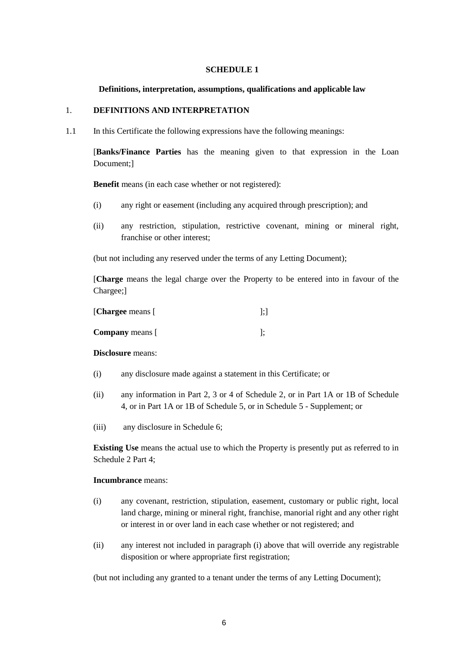#### **SCHEDULE 1**

#### <span id="page-7-0"></span>**Definitions, interpretation, assumptions, qualifications and applicable law**

#### <span id="page-7-1"></span>1. **DEFINITIONS AND INTERPRETATION**

1.1 In this Certificate the following expressions have the following meanings:

[**Banks/Finance Parties** has the meaning given to that expression in the Loan Document;]

**Benefit** means (in each case whether or not registered):

- (i) any right or easement (including any acquired through prescription); and
- (ii) any restriction, stipulation, restrictive covenant, mining or mineral right, franchise or other interest;

(but not including any reserved under the terms of any Letting Document);

[**Charge** means the legal charge over the Property to be entered into in favour of the Chargee;]

| [Chargee means [       | ];] |
|------------------------|-----|
| <b>Company</b> means [ |     |

**Disclosure** means:

- (i) any disclosure made against a statement in this Certificate; or
- (ii) any information in Part 2, 3 or 4 of Schedule 2, or in Part 1A or 1B of Schedule 4, or in Part 1A or 1B of Schedule 5, or in Schedule 5 - Supplement; or
- (iii) any disclosure in Schedule 6;

**Existing Use** means the actual use to which the Property is presently put as referred to in Schedule 2 Part 4;

#### **Incumbrance** means:

- (i) any covenant, restriction, stipulation, easement, customary or public right, local land charge, mining or mineral right, franchise, manorial right and any other right or interest in or over land in each case whether or not registered; and
- (ii) any interest not included in paragraph (i) above that will override any registrable disposition or where appropriate first registration;

(but not including any granted to a tenant under the terms of any Letting Document);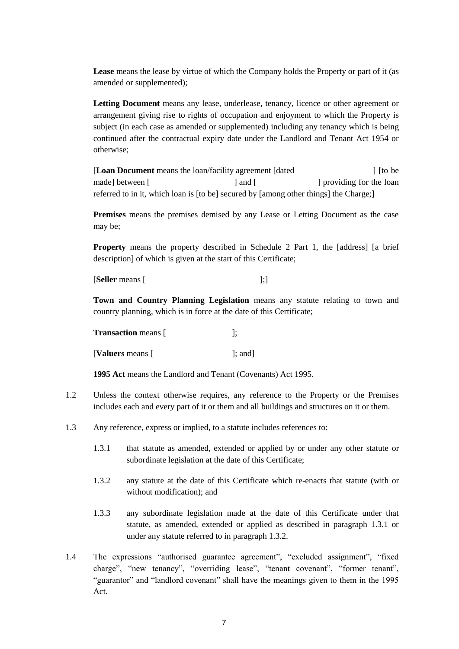**Lease** means the lease by virtue of which the Company holds the Property or part of it (as amended or supplemented);

**Letting Document** means any lease, underlease, tenancy, licence or other agreement or arrangement giving rise to rights of occupation and enjoyment to which the Property is subject (in each case as amended or supplemented) including any tenancy which is being continued after the contractual expiry date under the Landlord and Tenant Act 1954 or otherwise;

[**Loan Document** means the loan/facility agreement [dated ] [to be made] between [ ] and [ ] and [ ] providing for the loan referred to in it, which loan is [to be] secured by [among other things] the Charge;]

**Premises** means the premises demised by any Lease or Letting Document as the case may be;

**Property** means the property described in Schedule 2 Part 1, the [address] [a brief description] of which is given at the start of this Certificate;

[**Seller** means [ ];]

**Town and Country Planning Legislation** means any statute relating to town and country planning, which is in force at the date of this Certificate;

| <b>Transaction</b> means [ |                 |
|----------------------------|-----------------|
| [ <b>Valuers</b> means [   | $\lbrack$ : and |

**1995 Act** means the Landlord and Tenant (Covenants) Act 1995.

- 1.2 Unless the context otherwise requires, any reference to the Property or the Premises includes each and every part of it or them and all buildings and structures on it or them.
- 1.3 Any reference, express or implied, to a statute includes references to:
	- 1.3.1 that statute as amended, extended or applied by or under any other statute or subordinate legislation at the date of this Certificate;
	- 1.3.2 any statute at the date of this Certificate which re-enacts that statute (with or without modification); and
	- 1.3.3 any subordinate legislation made at the date of this Certificate under that statute, as amended, extended or applied as described in paragraph 1.3.1 or under any statute referred to in paragraph 1.3.2.
- 1.4 The expressions "authorised guarantee agreement", "excluded assignment", "fixed charge", "new tenancy", "overriding lease", "tenant covenant", "former tenant", "guarantor" and "landlord covenant" shall have the meanings given to them in the 1995 Act.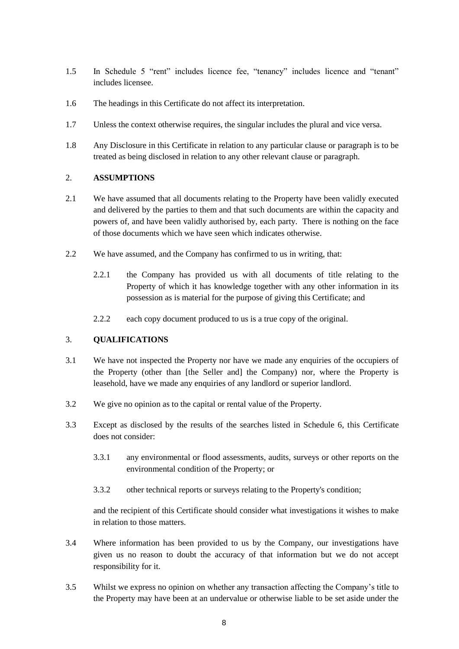- 1.5 In Schedule 5 "rent" includes licence fee, "tenancy" includes licence and "tenant" includes licensee.
- 1.6 The headings in this Certificate do not affect its interpretation.
- 1.7 Unless the context otherwise requires, the singular includes the plural and vice versa.
- 1.8 Any Disclosure in this Certificate in relation to any particular clause or paragraph is to be treated as being disclosed in relation to any other relevant clause or paragraph.

#### 2. **ASSUMPTIONS**

- 2.1 We have assumed that all documents relating to the Property have been validly executed and delivered by the parties to them and that such documents are within the capacity and powers of, and have been validly authorised by, each party. There is nothing on the face of those documents which we have seen which indicates otherwise.
- 2.2 We have assumed, and the Company has confirmed to us in writing, that:
	- 2.2.1 the Company has provided us with all documents of title relating to the Property of which it has knowledge together with any other information in its possession as is material for the purpose of giving this Certificate; and
	- 2.2.2 each copy document produced to us is a true copy of the original.

#### 3. **QUALIFICATIONS**

- 3.1 We have not inspected the Property nor have we made any enquiries of the occupiers of the Property (other than [the Seller and] the Company) nor, where the Property is leasehold, have we made any enquiries of any landlord or superior landlord.
- 3.2 We give no opinion as to the capital or rental value of the Property.
- 3.3 Except as disclosed by the results of the searches listed in Schedule 6, this Certificate does not consider:
	- 3.3.1 any environmental or flood assessments, audits, surveys or other reports on the environmental condition of the Property; or
	- 3.3.2 other technical reports or surveys relating to the Property's condition;

and the recipient of this Certificate should consider what investigations it wishes to make in relation to those matters.

- 3.4 Where information has been provided to us by the Company, our investigations have given us no reason to doubt the accuracy of that information but we do not accept responsibility for it.
- 3.5 Whilst we express no opinion on whether any transaction affecting the Company's title to the Property may have been at an undervalue or otherwise liable to be set aside under the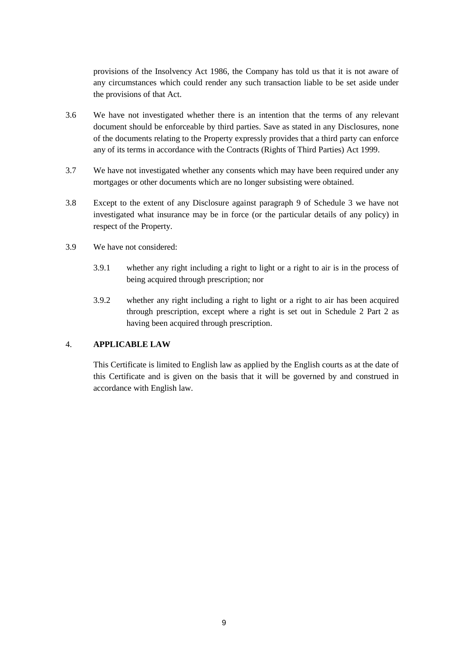provisions of the Insolvency Act 1986, the Company has told us that it is not aware of any circumstances which could render any such transaction liable to be set aside under the provisions of that Act.

- 3.6 We have not investigated whether there is an intention that the terms of any relevant document should be enforceable by third parties. Save as stated in any Disclosures, none of the documents relating to the Property expressly provides that a third party can enforce any of its terms in accordance with the Contracts (Rights of Third Parties) Act 1999.
- 3.7 We have not investigated whether any consents which may have been required under any mortgages or other documents which are no longer subsisting were obtained.
- 3.8 Except to the extent of any Disclosure against paragraph 9 of Schedule 3 we have not investigated what insurance may be in force (or the particular details of any policy) in respect of the Property.
- 3.9 We have not considered:
	- 3.9.1 whether any right including a right to light or a right to air is in the process of being acquired through prescription; nor
	- 3.9.2 whether any right including a right to light or a right to air has been acquired through prescription, except where a right is set out in Schedule 2 Part 2 as having been acquired through prescription.

# 4. **APPLICABLE LAW**

This Certificate is limited to English law as applied by the English courts as at the date of this Certificate and is given on the basis that it will be governed by and construed in accordance with English law.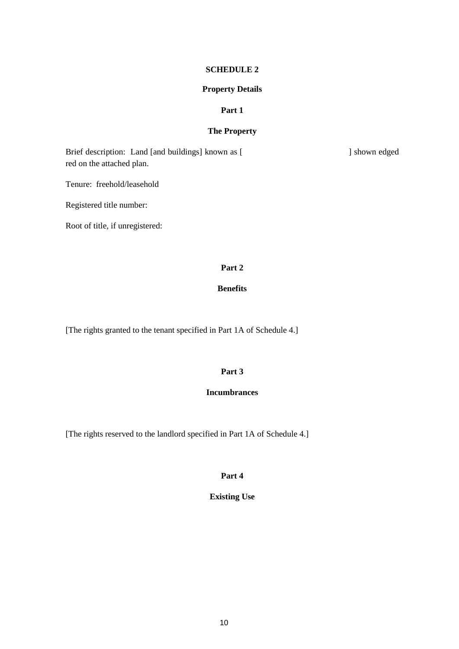#### **SCHEDULE 2**

#### **Property Details**

#### **Part 1**

# **The Property**

<span id="page-11-1"></span><span id="page-11-0"></span>Brief description: Land [and buildings] known as [ ] shown edged red on the attached plan.

Tenure: freehold/leasehold

Registered title number:

Root of title, if unregistered:

# **Part 2**

# **Benefits**

[The rights granted to the tenant specified in Part 1A of Schedule 4.]

#### **Part 3**

# **Incumbrances**

[The rights reserved to the landlord specified in Part 1A of Schedule 4.]

**Part 4**

# **Existing Use**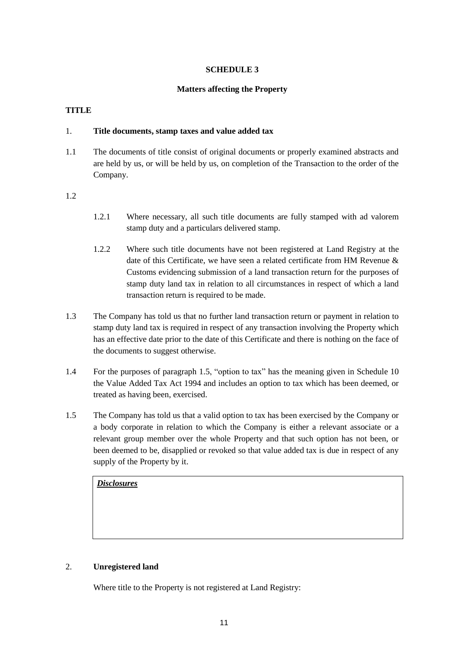# **SCHEDULE 3**

#### **Matters affecting the Property**

#### <span id="page-12-1"></span><span id="page-12-0"></span>**TITLE**

# 1. **Title documents, stamp taxes and value added tax**

1.1 The documents of title consist of original documents or properly examined abstracts and are held by us, or will be held by us, on completion of the Transaction to the order of the Company.

#### 1.2

- 1.2.1 Where necessary, all such title documents are fully stamped with ad valorem stamp duty and a particulars delivered stamp.
- 1.2.2 Where such title documents have not been registered at Land Registry at the date of this Certificate, we have seen a related certificate from HM Revenue & Customs evidencing submission of a land transaction return for the purposes of stamp duty land tax in relation to all circumstances in respect of which a land transaction return is required to be made.
- 1.3 The Company has told us that no further land transaction return or payment in relation to stamp duty land tax is required in respect of any transaction involving the Property which has an effective date prior to the date of this Certificate and there is nothing on the face of the documents to suggest otherwise.
- 1.4 For the purposes of paragraph 1.5, "option to tax" has the meaning given in Schedule 10 the Value Added Tax Act 1994 and includes an option to tax which has been deemed, or treated as having been, exercised.
- 1.5 The Company has told us that a valid option to tax has been exercised by the Company or a body corporate in relation to which the Company is either a relevant associate or a relevant group member over the whole Property and that such option has not been, or been deemed to be, disapplied or revoked so that value added tax is due in respect of any supply of the Property by it.

# *Disclosures*

#### 2. **Unregistered land**

Where title to the Property is not registered at Land Registry: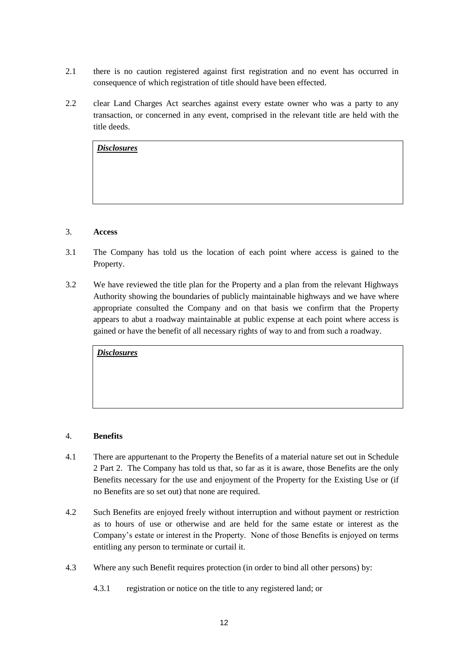- 2.1 there is no caution registered against first registration and no event has occurred in consequence of which registration of title should have been effected.
- 2.2 clear Land Charges Act searches against every estate owner who was a party to any transaction, or concerned in any event, comprised in the relevant title are held with the title deeds.

# 3. **Access**

- 3.1 The Company has told us the location of each point where access is gained to the Property.
- 3.2 We have reviewed the title plan for the Property and a plan from the relevant Highways Authority showing the boundaries of publicly maintainable highways and we have where appropriate consulted the Company and on that basis we confirm that the Property appears to abut a roadway maintainable at public expense at each point where access is gained or have the benefit of all necessary rights of way to and from such a roadway.

*Disclosures*

# 4. **Benefits**

- 4.1 There are appurtenant to the Property the Benefits of a material nature set out in Schedule 2 Part 2. The Company has told us that, so far as it is aware, those Benefits are the only Benefits necessary for the use and enjoyment of the Property for the Existing Use or (if no Benefits are so set out) that none are required.
- 4.2 Such Benefits are enjoyed freely without interruption and without payment or restriction as to hours of use or otherwise and are held for the same estate or interest as the Company's estate or interest in the Property. None of those Benefits is enjoyed on terms entitling any person to terminate or curtail it.
- 4.3 Where any such Benefit requires protection (in order to bind all other persons) by:
	- 4.3.1 registration or notice on the title to any registered land; or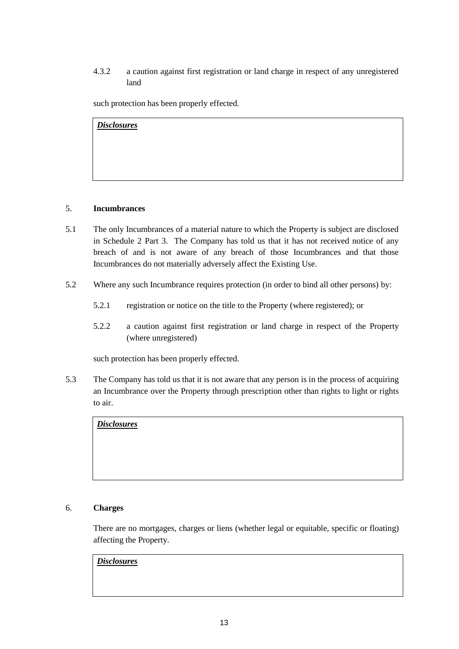4.3.2 a caution against first registration or land charge in respect of any unregistered land

such protection has been properly effected.

*Disclosures*

# 5. **Incumbrances**

- 5.1 The only Incumbrances of a material nature to which the Property is subject are disclosed in Schedule 2 Part 3. The Company has told us that it has not received notice of any breach of and is not aware of any breach of those Incumbrances and that those Incumbrances do not materially adversely affect the Existing Use.
- 5.2 Where any such Incumbrance requires protection (in order to bind all other persons) by:
	- 5.2.1 registration or notice on the title to the Property (where registered); or
	- 5.2.2 a caution against first registration or land charge in respect of the Property (where unregistered)

such protection has been properly effected.

5.3 The Company has told us that it is not aware that any person is in the process of acquiring an Incumbrance over the Property through prescription other than rights to light or rights to air.

*Disclosures*

# 6. **Charges**

There are no mortgages, charges or liens (whether legal or equitable, specific or floating) affecting the Property.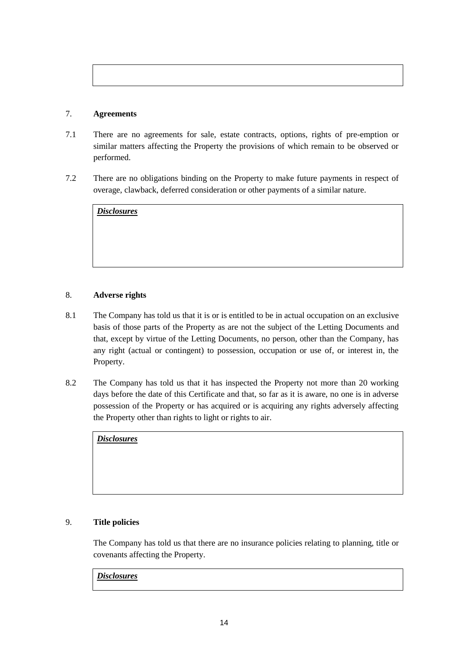# 7. **Agreements**

- 7.1 There are no agreements for sale, estate contracts, options, rights of pre-emption or similar matters affecting the Property the provisions of which remain to be observed or performed.
- 7.2 There are no obligations binding on the Property to make future payments in respect of overage, clawback, deferred consideration or other payments of a similar nature.

| <b>Disclosures</b> |  |  |
|--------------------|--|--|
|                    |  |  |
|                    |  |  |
|                    |  |  |
|                    |  |  |
|                    |  |  |

# 8. **Adverse rights**

- 8.1 The Company has told us that it is or is entitled to be in actual occupation on an exclusive basis of those parts of the Property as are not the subject of the Letting Documents and that, except by virtue of the Letting Documents, no person, other than the Company, has any right (actual or contingent) to possession, occupation or use of, or interest in, the Property.
- 8.2 The Company has told us that it has inspected the Property not more than 20 working days before the date of this Certificate and that, so far as it is aware, no one is in adverse possession of the Property or has acquired or is acquiring any rights adversely affecting the Property other than rights to light or rights to air.

*Disclosures*

# 9. **Title policies**

The Company has told us that there are no insurance policies relating to planning, title or covenants affecting the Property.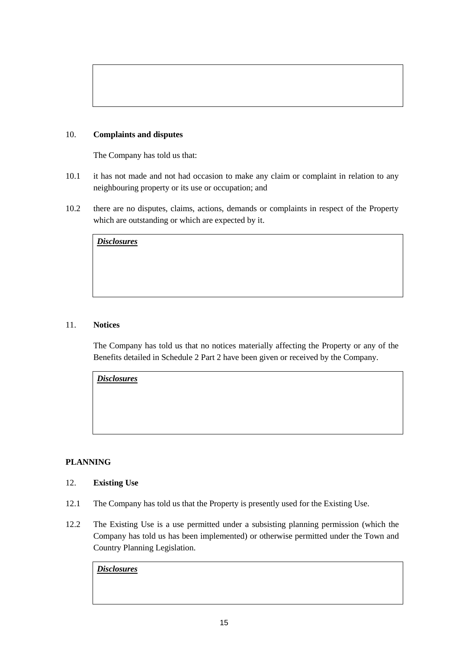# 10. **Complaints and disputes**

The Company has told us that:

- 10.1 it has not made and not had occasion to make any claim or complaint in relation to any neighbouring property or its use or occupation; and
- 10.2 there are no disputes, claims, actions, demands or complaints in respect of the Property which are outstanding or which are expected by it.

| <b>Disclosures</b> |  |  |  |
|--------------------|--|--|--|
|                    |  |  |  |
|                    |  |  |  |
|                    |  |  |  |

# 11. **Notices**

The Company has told us that no notices materially affecting the Property or any of the Benefits detailed in Schedule 2 Part 2 have been given or received by the Company.

*Disclosures*

# **PLANNING**

#### 12. **Existing Use**

- 12.1 The Company has told us that the Property is presently used for the Existing Use.
- 12.2 The Existing Use is a use permitted under a subsisting planning permission (which the Company has told us has been implemented) or otherwise permitted under the Town and Country Planning Legislation.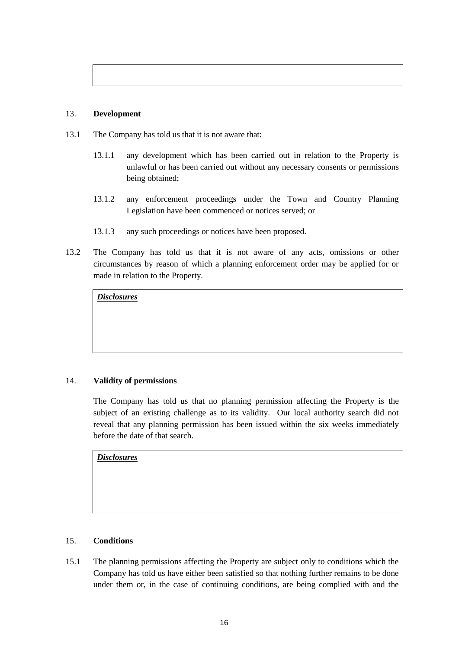# 13. **Development**

- 13.1 The Company has told us that it is not aware that:
	- 13.1.1 any development which has been carried out in relation to the Property is unlawful or has been carried out without any necessary consents or permissions being obtained;
	- 13.1.2 any enforcement proceedings under the Town and Country Planning Legislation have been commenced or notices served; or
	- 13.1.3 any such proceedings or notices have been proposed.
- 13.2 The Company has told us that it is not aware of any acts, omissions or other circumstances by reason of which a planning enforcement order may be applied for or made in relation to the Property.

*Disclosures*

# 14. **Validity of permissions**

The Company has told us that no planning permission affecting the Property is the subject of an existing challenge as to its validity. Our local authority search did not reveal that any planning permission has been issued within the six weeks immediately before the date of that search.

*Disclosures*

# 15. **Conditions**

15.1 The planning permissions affecting the Property are subject only to conditions which the Company has told us have either been satisfied so that nothing further remains to be done under them or, in the case of continuing conditions, are being complied with and the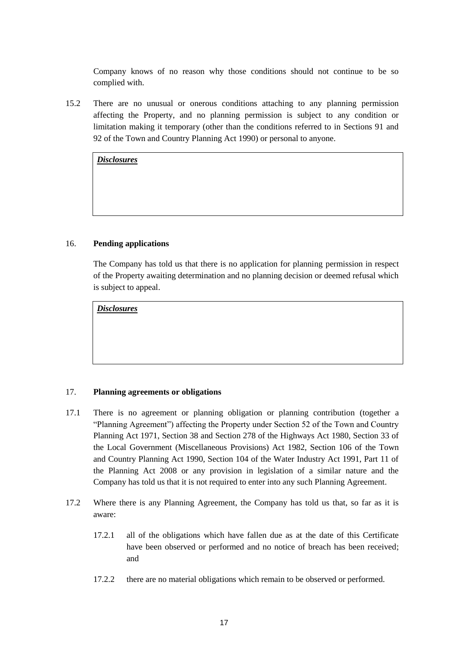Company knows of no reason why those conditions should not continue to be so complied with.

15.2 There are no unusual or onerous conditions attaching to any planning permission affecting the Property, and no planning permission is subject to any condition or limitation making it temporary (other than the conditions referred to in Sections 91 and 92 of the Town and Country Planning Act 1990) or personal to anyone.

*Disclosures*

#### 16. **Pending applications**

The Company has told us that there is no application for planning permission in respect of the Property awaiting determination and no planning decision or deemed refusal which is subject to appeal.

*Disclosures*

# 17. **Planning agreements or obligations**

- 17.1 There is no agreement or planning obligation or planning contribution (together a "Planning Agreement") affecting the Property under Section 52 of the Town and Country Planning Act 1971, Section 38 and Section 278 of the Highways Act 1980, Section 33 of the Local Government (Miscellaneous Provisions) Act 1982, Section 106 of the Town and Country Planning Act 1990, Section 104 of the Water Industry Act 1991, Part 11 of the Planning Act 2008 or any provision in legislation of a similar nature and the Company has told us that it is not required to enter into any such Planning Agreement.
- 17.2 Where there is any Planning Agreement, the Company has told us that, so far as it is aware:
	- 17.2.1 all of the obligations which have fallen due as at the date of this Certificate have been observed or performed and no notice of breach has been received; and
	- 17.2.2 there are no material obligations which remain to be observed or performed.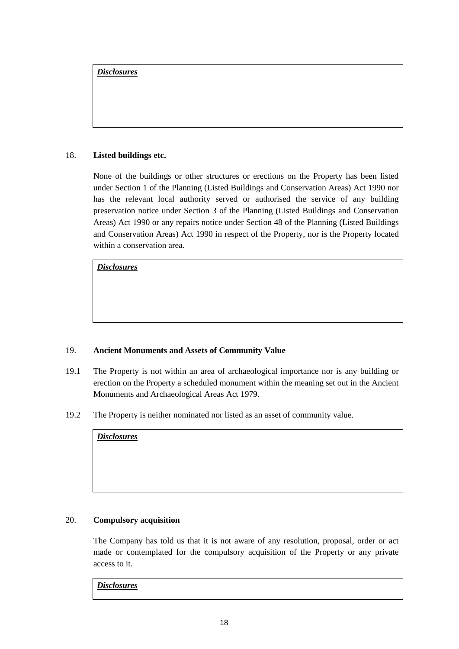# 18. **Listed buildings etc.**

None of the buildings or other structures or erections on the Property has been listed under Section 1 of the Planning (Listed Buildings and Conservation Areas) Act 1990 nor has the relevant local authority served or authorised the service of any building preservation notice under Section 3 of the Planning (Listed Buildings and Conservation Areas) Act 1990 or any repairs notice under Section 48 of the Planning (Listed Buildings and Conservation Areas) Act 1990 in respect of the Property, nor is the Property located within a conservation area.

*Disclosures*

# 19. **Ancient Monuments and Assets of Community Value**

- 19.1 The Property is not within an area of archaeological importance nor is any building or erection on the Property a scheduled monument within the meaning set out in the Ancient Monuments and Archaeological Areas Act 1979.
- 19.2 The Property is neither nominated nor listed as an asset of community value.

*Disclosures*

# 20. **Compulsory acquisition**

The Company has told us that it is not aware of any resolution, proposal, order or act made or contemplated for the compulsory acquisition of the Property or any private access to it.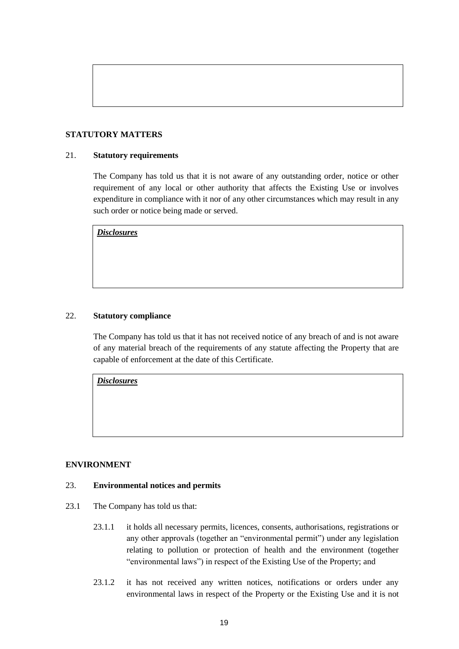# **STATUTORY MATTERS**

#### 21. **Statutory requirements**

The Company has told us that it is not aware of any outstanding order, notice or other requirement of any local or other authority that affects the Existing Use or involves expenditure in compliance with it nor of any other circumstances which may result in any such order or notice being made or served.

*Disclosures*

#### 22. **Statutory compliance**

The Company has told us that it has not received notice of any breach of and is not aware of any material breach of the requirements of any statute affecting the Property that are capable of enforcement at the date of this Certificate.

*Disclosures*

#### **ENVIRONMENT**

#### 23. **Environmental notices and permits**

- 23.1 The Company has told us that:
	- 23.1.1 it holds all necessary permits, licences, consents, authorisations, registrations or any other approvals (together an "environmental permit") under any legislation relating to pollution or protection of health and the environment (together "environmental laws") in respect of the Existing Use of the Property; and
	- 23.1.2 it has not received any written notices, notifications or orders under any environmental laws in respect of the Property or the Existing Use and it is not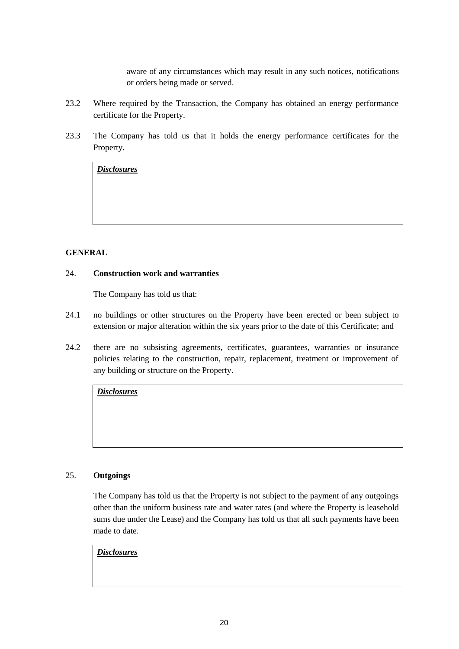aware of any circumstances which may result in any such notices, notifications or orders being made or served.

- 23.2 Where required by the Transaction, the Company has obtained an energy performance certificate for the Property.
- 23.3 The Company has told us that it holds the energy performance certificates for the Property.

*Disclosures*

# **GENERAL**

#### 24. **Construction work and warranties**

The Company has told us that:

- 24.1 no buildings or other structures on the Property have been erected or been subject to extension or major alteration within the six years prior to the date of this Certificate; and
- 24.2 there are no subsisting agreements, certificates, guarantees, warranties or insurance policies relating to the construction, repair, replacement, treatment or improvement of any building or structure on the Property.

*Disclosures*

#### 25. **Outgoings**

The Company has told us that the Property is not subject to the payment of any outgoings other than the uniform business rate and water rates (and where the Property is leasehold sums due under the Lease) and the Company has told us that all such payments have been made to date.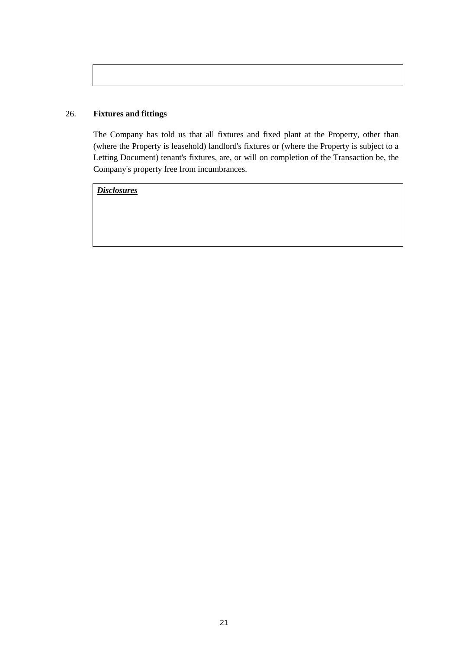# 26. **Fixtures and fittings**

The Company has told us that all fixtures and fixed plant at the Property, other than (where the Property is leasehold) landlord's fixtures or (where the Property is subject to a Letting Document) tenant's fixtures, are, or will on completion of the Transaction be, the Company's property free from incumbrances.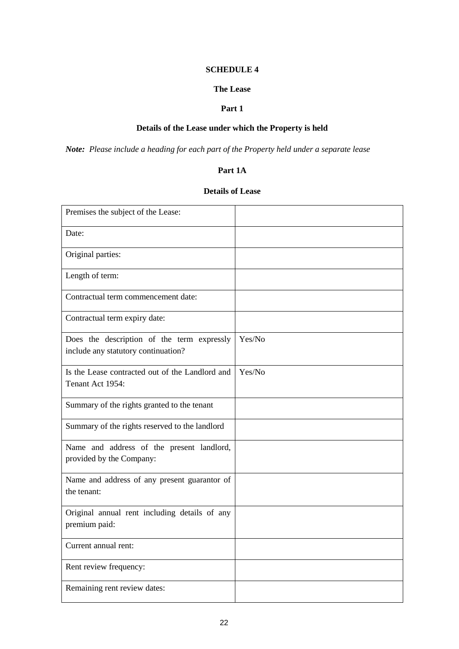#### **SCHEDULE 4**

# **The Lease**

# **Part 1**

# **Details of the Lease under which the Property is held**

<span id="page-23-3"></span><span id="page-23-2"></span><span id="page-23-1"></span><span id="page-23-0"></span>*Note: Please include a heading for each part of the Property held under a separate lease*

#### **Part 1A**

# **Details of Lease**

| Premises the subject of the Lease:                                                |        |
|-----------------------------------------------------------------------------------|--------|
| Date:                                                                             |        |
| Original parties:                                                                 |        |
| Length of term:                                                                   |        |
| Contractual term commencement date:                                               |        |
| Contractual term expiry date:                                                     |        |
| Does the description of the term expressly<br>include any statutory continuation? | Yes/No |
| Is the Lease contracted out of the Landlord and<br>Tenant Act 1954:               | Yes/No |
| Summary of the rights granted to the tenant                                       |        |
| Summary of the rights reserved to the landlord                                    |        |
| Name and address of the present landlord,<br>provided by the Company:             |        |
| Name and address of any present guarantor of<br>the tenant:                       |        |
| Original annual rent including details of any<br>premium paid:                    |        |
| Current annual rent:                                                              |        |
| Rent review frequency:                                                            |        |
| Remaining rent review dates:                                                      |        |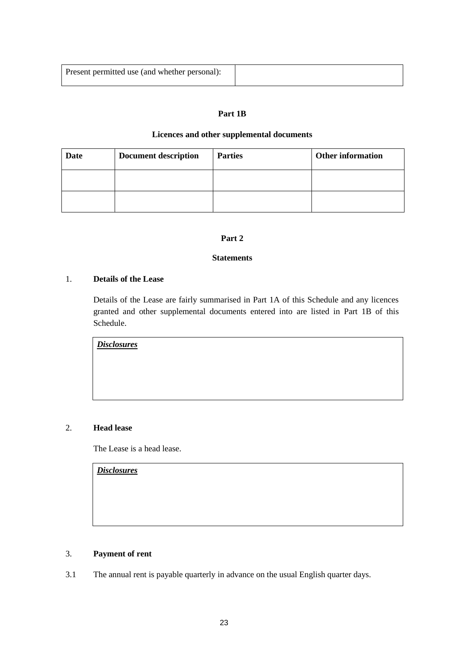| Present permitted use (and whether personal): |  |
|-----------------------------------------------|--|
|                                               |  |
|                                               |  |
|                                               |  |

# **Part 1B**

#### **Licences and other supplemental documents**

| <b>Date</b> | <b>Document description</b> | <b>Parties</b> | <b>Other information</b> |
|-------------|-----------------------------|----------------|--------------------------|
|             |                             |                |                          |
|             |                             |                |                          |

#### **Part 2**

# **Statements**

# <span id="page-24-1"></span><span id="page-24-0"></span>1. **Details of the Lease**

Details of the Lease are fairly summarised in Part 1A of this Schedule and any licences granted and other supplemental documents entered into are listed in Part 1B of this Schedule.

*Disclosures*

# 2. **Head lease**

The Lease is a head lease.

*Disclosures*

# 3. **Payment of rent**

3.1 The annual rent is payable quarterly in advance on the usual English quarter days.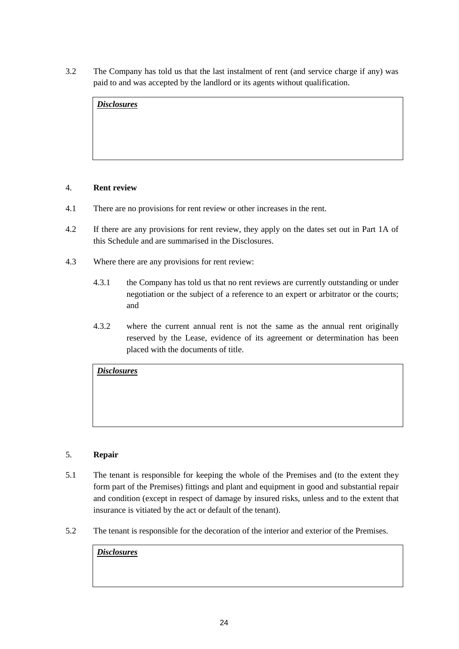3.2 The Company has told us that the last instalment of rent (and service charge if any) was paid to and was accepted by the landlord or its agents without qualification.

| <b>Disclosures</b> |  |  |
|--------------------|--|--|
|                    |  |  |
|                    |  |  |
|                    |  |  |

#### 4. **Rent review**

- 4.1 There are no provisions for rent review or other increases in the rent.
- 4.2 If there are any provisions for rent review, they apply on the dates set out in Part 1A of this Schedule and are summarised in the Disclosures.
- 4.3 Where there are any provisions for rent review:
	- 4.3.1 the Company has told us that no rent reviews are currently outstanding or under negotiation or the subject of a reference to an expert or arbitrator or the courts; and
	- 4.3.2 where the current annual rent is not the same as the annual rent originally reserved by the Lease, evidence of its agreement or determination has been placed with the documents of title.

*Disclosures*

# 5. **Repair**

- 5.1 The tenant is responsible for keeping the whole of the Premises and (to the extent they form part of the Premises) fittings and plant and equipment in good and substantial repair and condition (except in respect of damage by insured risks, unless and to the extent that insurance is vitiated by the act or default of the tenant).
- 5.2 The tenant is responsible for the decoration of the interior and exterior of the Premises.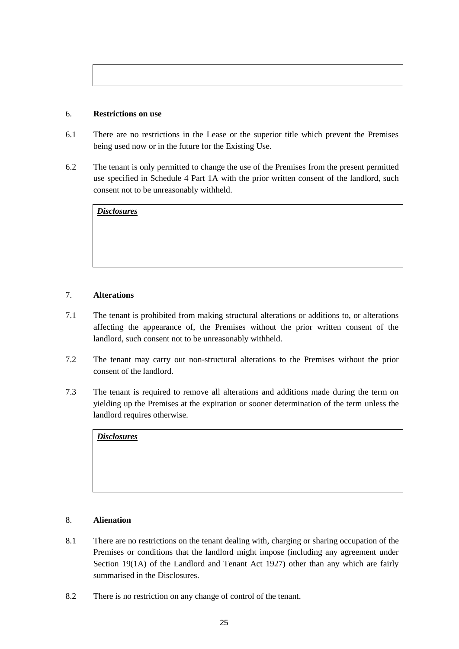# 6. **Restrictions on use**

- 6.1 There are no restrictions in the Lease or the superior title which prevent the Premises being used now or in the future for the Existing Use.
- 6.2 The tenant is only permitted to change the use of the Premises from the present permitted use specified in Schedule 4 Part 1A with the prior written consent of the landlord, such consent not to be unreasonably withheld.

*Disclosures*

# 7. **Alterations**

- 7.1 The tenant is prohibited from making structural alterations or additions to, or alterations affecting the appearance of, the Premises without the prior written consent of the landlord, such consent not to be unreasonably withheld.
- 7.2 The tenant may carry out non-structural alterations to the Premises without the prior consent of the landlord.
- 7.3 The tenant is required to remove all alterations and additions made during the term on yielding up the Premises at the expiration or sooner determination of the term unless the landlord requires otherwise.

*Disclosures*

# 8. **Alienation**

- 8.1 There are no restrictions on the tenant dealing with, charging or sharing occupation of the Premises or conditions that the landlord might impose (including any agreement under Section 19(1A) of the Landlord and Tenant Act 1927) other than any which are fairly summarised in the Disclosures.
- 8.2 There is no restriction on any change of control of the tenant.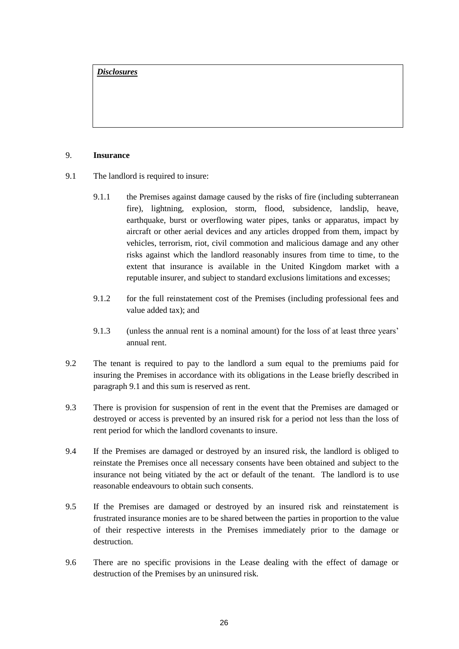#### 9. **Insurance**

- 9.1 The landlord is required to insure:
	- 9.1.1 the Premises against damage caused by the risks of fire (including subterranean fire), lightning, explosion, storm, flood, subsidence, landslip, heave, earthquake, burst or overflowing water pipes, tanks or apparatus, impact by aircraft or other aerial devices and any articles dropped from them, impact by vehicles, terrorism, riot, civil commotion and malicious damage and any other risks against which the landlord reasonably insures from time to time, to the extent that insurance is available in the United Kingdom market with a reputable insurer, and subject to standard exclusions limitations and excesses;
	- 9.1.2 for the full reinstatement cost of the Premises (including professional fees and value added tax); and
	- 9.1.3 (unless the annual rent is a nominal amount) for the loss of at least three years' annual rent.
- 9.2 The tenant is required to pay to the landlord a sum equal to the premiums paid for insuring the Premises in accordance with its obligations in the Lease briefly described in paragraph 9.1 and this sum is reserved as rent.
- 9.3 There is provision for suspension of rent in the event that the Premises are damaged or destroyed or access is prevented by an insured risk for a period not less than the loss of rent period for which the landlord covenants to insure.
- 9.4 If the Premises are damaged or destroyed by an insured risk, the landlord is obliged to reinstate the Premises once all necessary consents have been obtained and subject to the insurance not being vitiated by the act or default of the tenant. The landlord is to use reasonable endeavours to obtain such consents.
- 9.5 If the Premises are damaged or destroyed by an insured risk and reinstatement is frustrated insurance monies are to be shared between the parties in proportion to the value of their respective interests in the Premises immediately prior to the damage or destruction.
- 9.6 There are no specific provisions in the Lease dealing with the effect of damage or destruction of the Premises by an uninsured risk.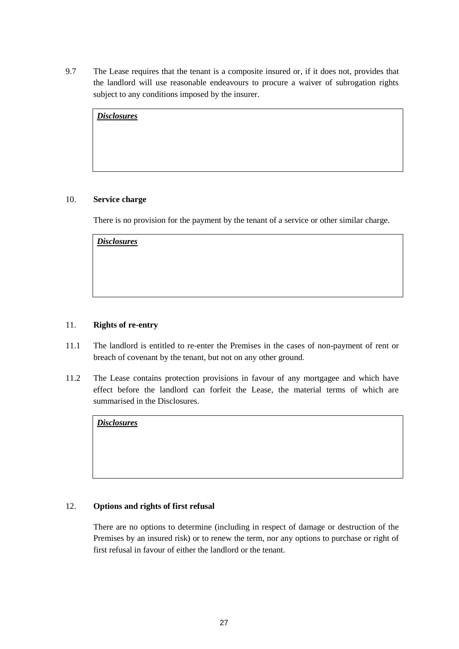9.7 The Lease requires that the tenant is a composite insured or, if it does not, provides that the landlord will use reasonable endeavours to procure a waiver of subrogation rights subject to any conditions imposed by the insurer.

| <b>Disclosures</b> |  |  |
|--------------------|--|--|
|                    |  |  |
|                    |  |  |
|                    |  |  |

# 10. **Service charge**

There is no provision for the payment by the tenant of a service or other similar charge.

| <b>Disclosures</b> |  |  |  |
|--------------------|--|--|--|
|                    |  |  |  |
|                    |  |  |  |
|                    |  |  |  |
|                    |  |  |  |

# 11. **Rights of re-entry**

- 11.1 The landlord is entitled to re-enter the Premises in the cases of non-payment of rent or breach of covenant by the tenant, but not on any other ground.
- 11.2 The Lease contains protection provisions in favour of any mortgagee and which have effect before the landlord can forfeit the Lease, the material terms of which are summarised in the Disclosures.

*Disclosures*

# 12. **Options and rights of first refusal**

There are no options to determine (including in respect of damage or destruction of the Premises by an insured risk) or to renew the term, nor any options to purchase or right of first refusal in favour of either the landlord or the tenant.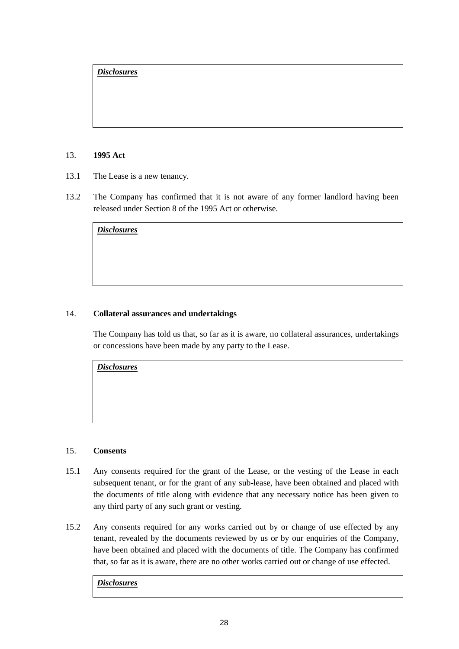#### 13. **1995 Act**

- 13.1 The Lease is a new tenancy.
- 13.2 The Company has confirmed that it is not aware of any former landlord having been released under Section 8 of the 1995 Act or otherwise.

*Disclosures*

# 14. **Collateral assurances and undertakings**

The Company has told us that, so far as it is aware, no collateral assurances, undertakings or concessions have been made by any party to the Lease.

*Disclosures*

# 15. **Consents**

- 15.1 Any consents required for the grant of the Lease, or the vesting of the Lease in each subsequent tenant, or for the grant of any sub-lease, have been obtained and placed with the documents of title along with evidence that any necessary notice has been given to any third party of any such grant or vesting.
- 15.2 Any consents required for any works carried out by or change of use effected by any tenant, revealed by the documents reviewed by us or by our enquiries of the Company, have been obtained and placed with the documents of title. The Company has confirmed that, so far as it is aware, there are no other works carried out or change of use effected.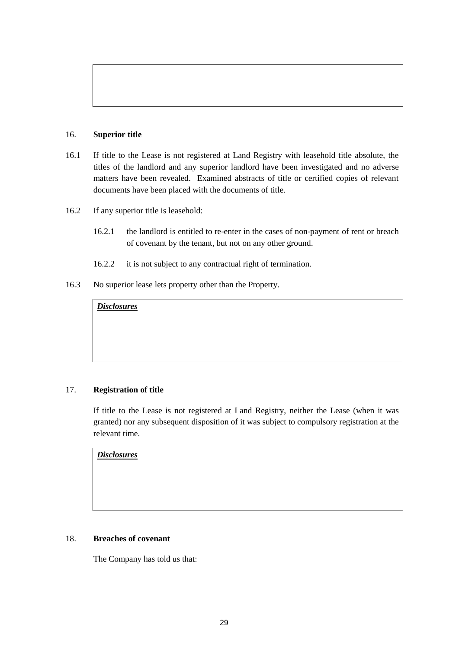#### 16. **Superior title**

- 16.1 If title to the Lease is not registered at Land Registry with leasehold title absolute, the titles of the landlord and any superior landlord have been investigated and no adverse matters have been revealed. Examined abstracts of title or certified copies of relevant documents have been placed with the documents of title.
- 16.2 If any superior title is leasehold:
	- 16.2.1 the landlord is entitled to re-enter in the cases of non-payment of rent or breach of covenant by the tenant, but not on any other ground.
	- 16.2.2 it is not subject to any contractual right of termination.
- 16.3 No superior lease lets property other than the Property.

# *Disclosures*

# 17. **Registration of title**

If title to the Lease is not registered at Land Registry, neither the Lease (when it was granted) nor any subsequent disposition of it was subject to compulsory registration at the relevant time.

*Disclosures*

#### 18. **Breaches of covenant**

The Company has told us that: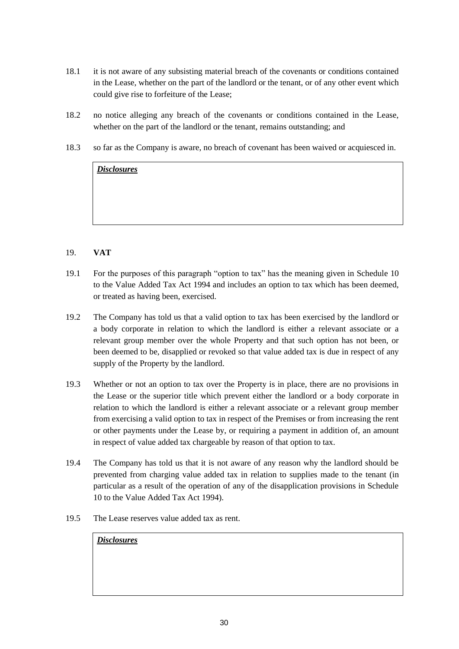- 18.1 it is not aware of any subsisting material breach of the covenants or conditions contained in the Lease, whether on the part of the landlord or the tenant, or of any other event which could give rise to forfeiture of the Lease;
- 18.2 no notice alleging any breach of the covenants or conditions contained in the Lease, whether on the part of the landlord or the tenant, remains outstanding; and
- 18.3 so far as the Company is aware, no breach of covenant has been waived or acquiesced in.

#### 19. **VAT**

- 19.1 For the purposes of this paragraph "option to tax" has the meaning given in Schedule 10 to the Value Added Tax Act 1994 and includes an option to tax which has been deemed, or treated as having been, exercised.
- 19.2 The Company has told us that a valid option to tax has been exercised by the landlord or a body corporate in relation to which the landlord is either a relevant associate or a relevant group member over the whole Property and that such option has not been, or been deemed to be, disapplied or revoked so that value added tax is due in respect of any supply of the Property by the landlord.
- 19.3 Whether or not an option to tax over the Property is in place, there are no provisions in the Lease or the superior title which prevent either the landlord or a body corporate in relation to which the landlord is either a relevant associate or a relevant group member from exercising a valid option to tax in respect of the Premises or from increasing the rent or other payments under the Lease by, or requiring a payment in addition of, an amount in respect of value added tax chargeable by reason of that option to tax.
- 19.4 The Company has told us that it is not aware of any reason why the landlord should be prevented from charging value added tax in relation to supplies made to the tenant (in particular as a result of the operation of any of the disapplication provisions in Schedule 10 to the Value Added Tax Act 1994).
- 19.5 The Lease reserves value added tax as rent.

| <b>Disclosures</b> |  |  |  |
|--------------------|--|--|--|
|                    |  |  |  |
|                    |  |  |  |
|                    |  |  |  |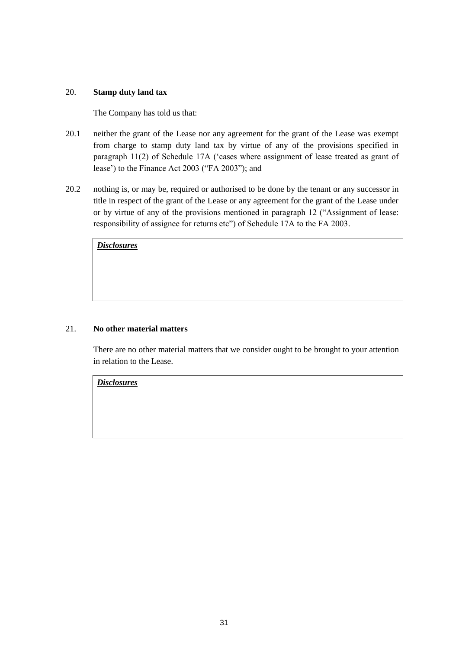#### 20. **Stamp duty land tax**

The Company has told us that:

- 20.1 neither the grant of the Lease nor any agreement for the grant of the Lease was exempt from charge to stamp duty land tax by virtue of any of the provisions specified in paragraph 11(2) of Schedule 17A ('cases where assignment of lease treated as grant of lease') to the Finance Act 2003 ("FA 2003"); and
- 20.2 nothing is, or may be, required or authorised to be done by the tenant or any successor in title in respect of the grant of the Lease or any agreement for the grant of the Lease under or by virtue of any of the provisions mentioned in paragraph 12 ("Assignment of lease: responsibility of assignee for returns etc") of Schedule 17A to the FA 2003.

*Disclosures*

# 21. **No other material matters**

There are no other material matters that we consider ought to be brought to your attention in relation to the Lease.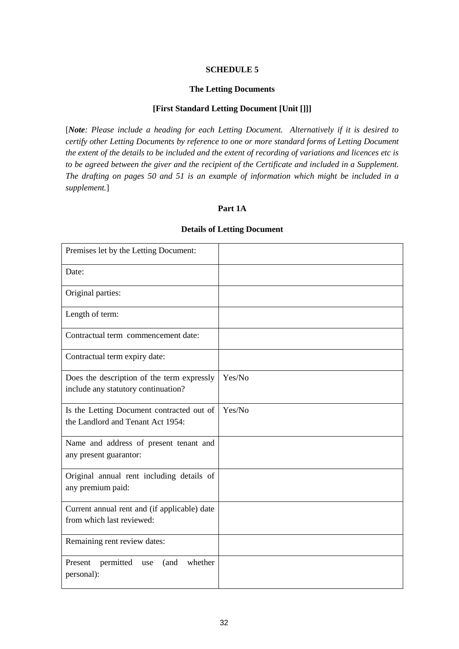# **SCHEDULE 5**

#### **The Letting Documents**

#### **[First Standard Letting Document [Unit []]]**

<span id="page-33-2"></span><span id="page-33-1"></span><span id="page-33-0"></span>[*Note: Please include a heading for each Letting Document. Alternatively if it is desired to certify other Letting Documents by reference to one or more standard forms of Letting Document the extent of the details to be included and the extent of recording of variations and licences etc is to be agreed between the giver and the recipient of the Certificate and included in a Supplement. The drafting on pages 50 and 51 is an example of information which might be included in a supplement.*]

#### **Part 1A**

| Premises let by the Letting Document:                                             |        |
|-----------------------------------------------------------------------------------|--------|
| Date:                                                                             |        |
| Original parties:                                                                 |        |
| Length of term:                                                                   |        |
| Contractual term commencement date:                                               |        |
| Contractual term expiry date:                                                     |        |
| Does the description of the term expressly<br>include any statutory continuation? | Yes/No |
| Is the Letting Document contracted out of<br>the Landlord and Tenant Act 1954:    | Yes/No |
| Name and address of present tenant and<br>any present guarantor:                  |        |
| Original annual rent including details of<br>any premium paid:                    |        |
| Current annual rent and (if applicable) date<br>from which last reviewed:         |        |
| Remaining rent review dates:                                                      |        |
| whether<br>Present<br>permitted<br>(and<br>use<br>personal):                      |        |

#### **Details of Letting Document**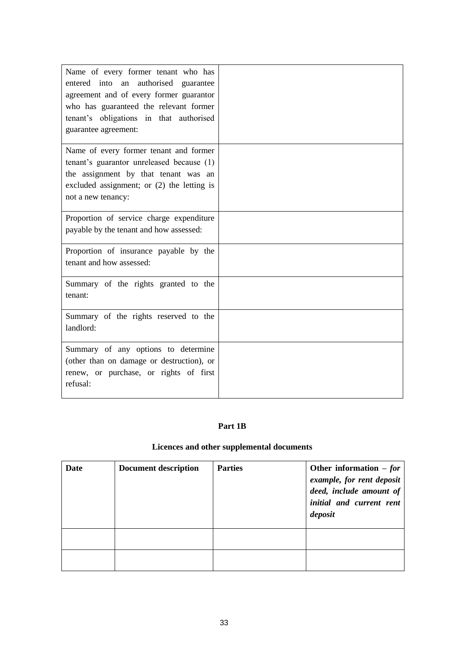| Name of every former tenant who has<br>entered into an authorised guarantee<br>agreement and of every former guarantor<br>who has guaranteed the relevant former<br>tenant's obligations in that authorised<br>guarantee agreement: |  |
|-------------------------------------------------------------------------------------------------------------------------------------------------------------------------------------------------------------------------------------|--|
| Name of every former tenant and former<br>tenant's guarantor unreleased because (1)<br>the assignment by that tenant was an<br>excluded assignment; or (2) the letting is<br>not a new tenancy:                                     |  |
| Proportion of service charge expenditure<br>payable by the tenant and how assessed:                                                                                                                                                 |  |
| Proportion of insurance payable by the<br>tenant and how assessed:                                                                                                                                                                  |  |
| Summary of the rights granted to the<br>tenant:                                                                                                                                                                                     |  |
| Summary of the rights reserved to the<br>landlord:                                                                                                                                                                                  |  |
| Summary of any options to determine<br>(other than on damage or destruction), or<br>renew, or purchase, or rights of first<br>refusal:                                                                                              |  |

# **Part 1B**

# **Licences and other supplemental documents**

| Date | <b>Document description</b> | <b>Parties</b> | Other information $- for$<br>example, for rent deposit<br>deed, include amount of<br>initial and current rent<br>deposit |
|------|-----------------------------|----------------|--------------------------------------------------------------------------------------------------------------------------|
|      |                             |                |                                                                                                                          |
|      |                             |                |                                                                                                                          |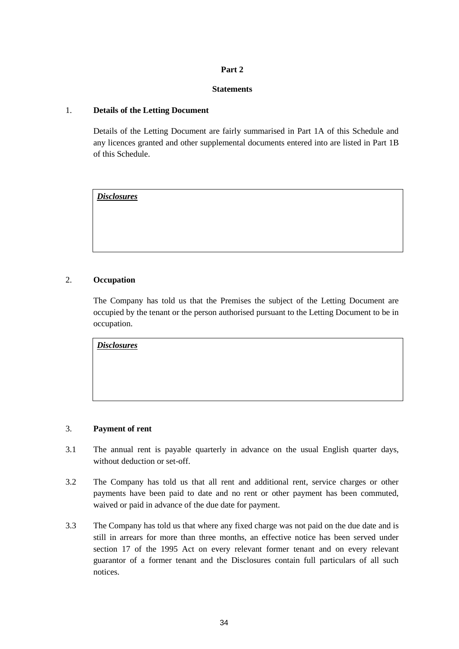# **Part 2**

#### **Statements**

#### <span id="page-35-1"></span><span id="page-35-0"></span>1. **Details of the Letting Document**

Details of the Letting Document are fairly summarised in Part 1A of this Schedule and any licences granted and other supplemental documents entered into are listed in Part 1B of this Schedule.

*Disclosures*

#### 2. **Occupation**

The Company has told us that the Premises the subject of the Letting Document are occupied by the tenant or the person authorised pursuant to the Letting Document to be in occupation.

*Disclosures*

#### 3. **Payment of rent**

- 3.1 The annual rent is payable quarterly in advance on the usual English quarter days, without deduction or set-off.
- 3.2 The Company has told us that all rent and additional rent, service charges or other payments have been paid to date and no rent or other payment has been commuted, waived or paid in advance of the due date for payment.
- 3.3 The Company has told us that where any fixed charge was not paid on the due date and is still in arrears for more than three months, an effective notice has been served under section 17 of the 1995 Act on every relevant former tenant and on every relevant guarantor of a former tenant and the Disclosures contain full particulars of all such notices.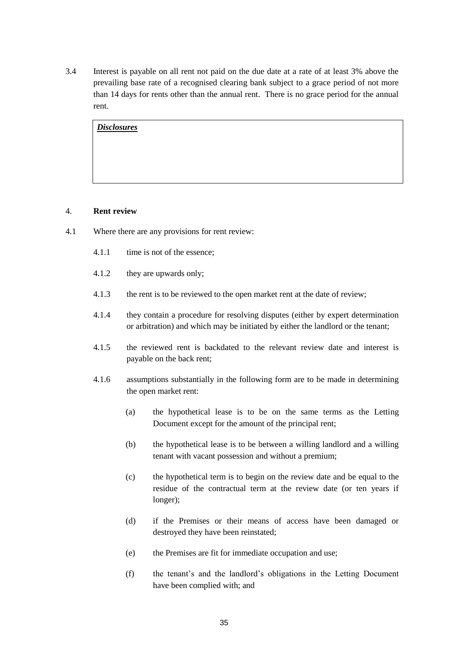3.4 Interest is payable on all rent not paid on the due date at a rate of at least 3% above the prevailing base rate of a recognised clearing bank subject to a grace period of not more than 14 days for rents other than the annual rent. There is no grace period for the annual rent.

*Disclosures*

#### 4. **Rent review**

- 4.1 Where there are any provisions for rent review:
	- 4.1.1 time is not of the essence;
	- 4.1.2 they are upwards only;
	- 4.1.3 the rent is to be reviewed to the open market rent at the date of review;
	- 4.1.4 they contain a procedure for resolving disputes (either by expert determination or arbitration) and which may be initiated by either the landlord or the tenant;
	- 4.1.5 the reviewed rent is backdated to the relevant review date and interest is payable on the back rent;
	- 4.1.6 assumptions substantially in the following form are to be made in determining the open market rent:
		- (a) the hypothetical lease is to be on the same terms as the Letting Document except for the amount of the principal rent;
		- (b) the hypothetical lease is to be between a willing landlord and a willing tenant with vacant possession and without a premium;
		- (c) the hypothetical term is to begin on the review date and be equal to the residue of the contractual term at the review date (or ten years if longer);
		- (d) if the Premises or their means of access have been damaged or destroyed they have been reinstated;
		- (e) the Premises are fit for immediate occupation and use;
		- (f) the tenant's and the landlord's obligations in the Letting Document have been complied with; and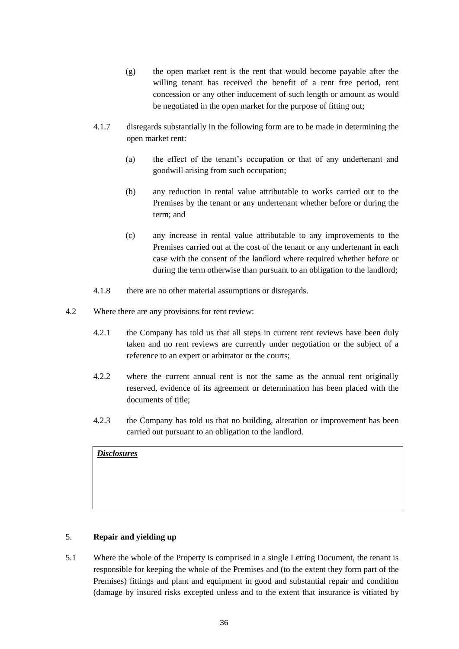- (g) the open market rent is the rent that would become payable after the willing tenant has received the benefit of a rent free period, rent concession or any other inducement of such length or amount as would be negotiated in the open market for the purpose of fitting out;
- 4.1.7 disregards substantially in the following form are to be made in determining the open market rent:
	- (a) the effect of the tenant's occupation or that of any undertenant and goodwill arising from such occupation;
	- (b) any reduction in rental value attributable to works carried out to the Premises by the tenant or any undertenant whether before or during the term; and
	- (c) any increase in rental value attributable to any improvements to the Premises carried out at the cost of the tenant or any undertenant in each case with the consent of the landlord where required whether before or during the term otherwise than pursuant to an obligation to the landlord;
- 4.1.8 there are no other material assumptions or disregards.
- 4.2 Where there are any provisions for rent review:
	- 4.2.1 the Company has told us that all steps in current rent reviews have been duly taken and no rent reviews are currently under negotiation or the subject of a reference to an expert or arbitrator or the courts;
	- 4.2.2 where the current annual rent is not the same as the annual rent originally reserved, evidence of its agreement or determination has been placed with the documents of title;
	- 4.2.3 the Company has told us that no building, alteration or improvement has been carried out pursuant to an obligation to the landlord.

# 5. **Repair and yielding up**

5.1 Where the whole of the Property is comprised in a single Letting Document, the tenant is responsible for keeping the whole of the Premises and (to the extent they form part of the Premises) fittings and plant and equipment in good and substantial repair and condition (damage by insured risks excepted unless and to the extent that insurance is vitiated by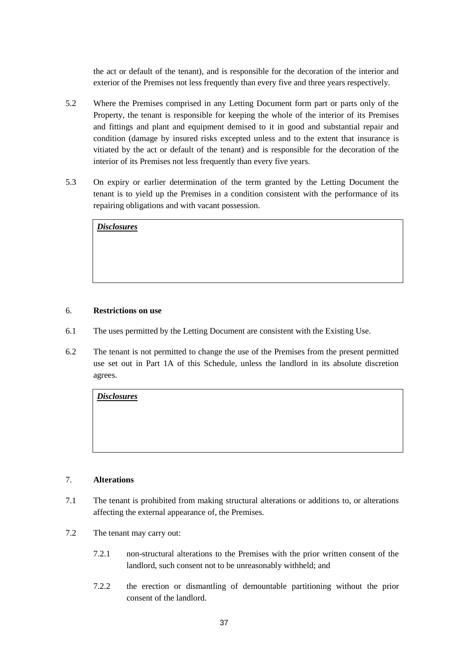the act or default of the tenant), and is responsible for the decoration of the interior and exterior of the Premises not less frequently than every five and three years respectively.

- 5.2 Where the Premises comprised in any Letting Document form part or parts only of the Property, the tenant is responsible for keeping the whole of the interior of its Premises and fittings and plant and equipment demised to it in good and substantial repair and condition (damage by insured risks excepted unless and to the extent that insurance is vitiated by the act or default of the tenant) and is responsible for the decoration of the interior of its Premises not less frequently than every five years.
- 5.3 On expiry or earlier determination of the term granted by the Letting Document the tenant is to yield up the Premises in a condition consistent with the performance of its repairing obligations and with vacant possession.

| <b>Disclosures</b> |  |  |  |
|--------------------|--|--|--|
|                    |  |  |  |
|                    |  |  |  |
|                    |  |  |  |

#### 6. **Restrictions on use**

- 6.1 The uses permitted by the Letting Document are consistent with the Existing Use.
- 6.2 The tenant is not permitted to change the use of the Premises from the present permitted use set out in Part 1A of this Schedule, unless the landlord in its absolute discretion agrees.

*Disclosures*

#### 7. **Alterations**

- 7.1 The tenant is prohibited from making structural alterations or additions to, or alterations affecting the external appearance of, the Premises.
- 7.2 The tenant may carry out:
	- 7.2.1 non-structural alterations to the Premises with the prior written consent of the landlord, such consent not to be unreasonably withheld; and
	- 7.2.2 the erection or dismantling of demountable partitioning without the prior consent of the landlord.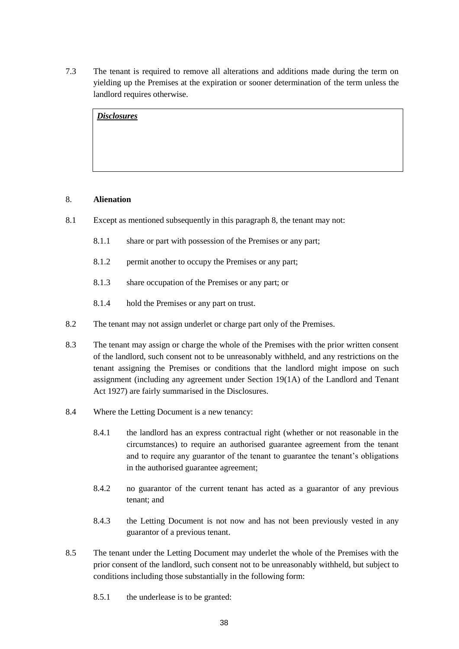7.3 The tenant is required to remove all alterations and additions made during the term on yielding up the Premises at the expiration or sooner determination of the term unless the landlord requires otherwise.

*Disclosures*

# 8. **Alienation**

- 8.1 Except as mentioned subsequently in this paragraph 8, the tenant may not:
	- 8.1.1 share or part with possession of the Premises or any part;
	- 8.1.2 permit another to occupy the Premises or any part;
	- 8.1.3 share occupation of the Premises or any part; or
	- 8.1.4 hold the Premises or any part on trust.
- 8.2 The tenant may not assign underlet or charge part only of the Premises.
- 8.3 The tenant may assign or charge the whole of the Premises with the prior written consent of the landlord, such consent not to be unreasonably withheld, and any restrictions on the tenant assigning the Premises or conditions that the landlord might impose on such assignment (including any agreement under Section 19(1A) of the Landlord and Tenant Act 1927) are fairly summarised in the Disclosures.
- 8.4 Where the Letting Document is a new tenancy:
	- 8.4.1 the landlord has an express contractual right (whether or not reasonable in the circumstances) to require an authorised guarantee agreement from the tenant and to require any guarantor of the tenant to guarantee the tenant's obligations in the authorised guarantee agreement;
	- 8.4.2 no guarantor of the current tenant has acted as a guarantor of any previous tenant; and
	- 8.4.3 the Letting Document is not now and has not been previously vested in any guarantor of a previous tenant.
- 8.5 The tenant under the Letting Document may underlet the whole of the Premises with the prior consent of the landlord, such consent not to be unreasonably withheld, but subject to conditions including those substantially in the following form:
	- 8.5.1 the underlease is to be granted: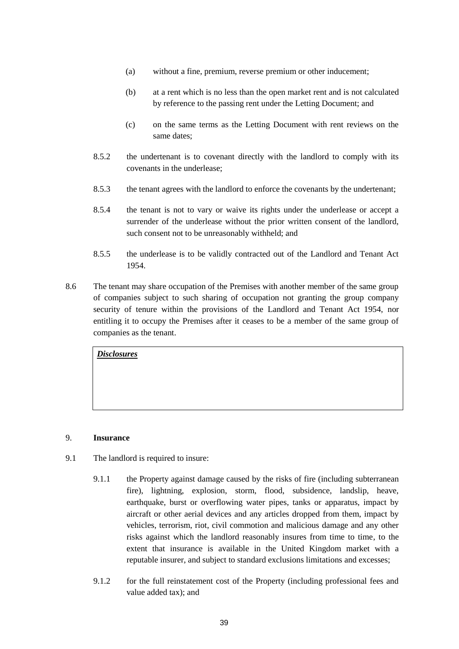- (a) without a fine, premium, reverse premium or other inducement;
- (b) at a rent which is no less than the open market rent and is not calculated by reference to the passing rent under the Letting Document; and
- (c) on the same terms as the Letting Document with rent reviews on the same dates;
- 8.5.2 the undertenant is to covenant directly with the landlord to comply with its covenants in the underlease;
- 8.5.3 the tenant agrees with the landlord to enforce the covenants by the undertenant;
- 8.5.4 the tenant is not to vary or waive its rights under the underlease or accept a surrender of the underlease without the prior written consent of the landlord, such consent not to be unreasonably withheld; and
- 8.5.5 the underlease is to be validly contracted out of the Landlord and Tenant Act 1954.
- 8.6 The tenant may share occupation of the Premises with another member of the same group of companies subject to such sharing of occupation not granting the group company security of tenure within the provisions of the Landlord and Tenant Act 1954, nor entitling it to occupy the Premises after it ceases to be a member of the same group of companies as the tenant.

#### 9. **Insurance**

- 9.1 The landlord is required to insure:
	- 9.1.1 the Property against damage caused by the risks of fire (including subterranean fire), lightning, explosion, storm, flood, subsidence, landslip, heave, earthquake, burst or overflowing water pipes, tanks or apparatus, impact by aircraft or other aerial devices and any articles dropped from them, impact by vehicles, terrorism, riot, civil commotion and malicious damage and any other risks against which the landlord reasonably insures from time to time, to the extent that insurance is available in the United Kingdom market with a reputable insurer, and subject to standard exclusions limitations and excesses;
	- 9.1.2 for the full reinstatement cost of the Property (including professional fees and value added tax); and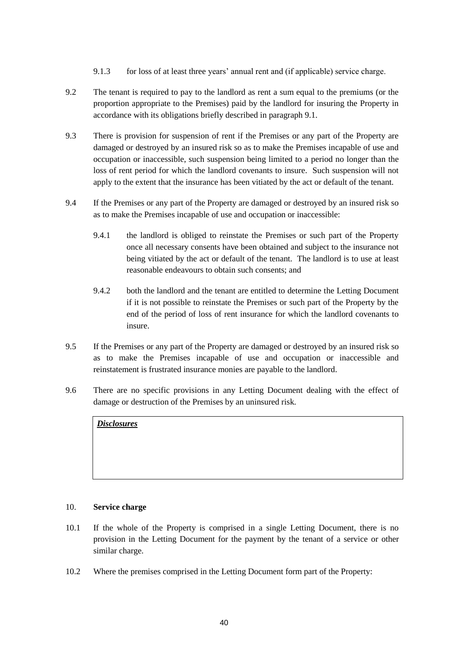- 9.1.3 for loss of at least three years' annual rent and (if applicable) service charge.
- 9.2 The tenant is required to pay to the landlord as rent a sum equal to the premiums (or the proportion appropriate to the Premises) paid by the landlord for insuring the Property in accordance with its obligations briefly described in paragraph 9.1.
- 9.3 There is provision for suspension of rent if the Premises or any part of the Property are damaged or destroyed by an insured risk so as to make the Premises incapable of use and occupation or inaccessible, such suspension being limited to a period no longer than the loss of rent period for which the landlord covenants to insure. Such suspension will not apply to the extent that the insurance has been vitiated by the act or default of the tenant.
- 9.4 If the Premises or any part of the Property are damaged or destroyed by an insured risk so as to make the Premises incapable of use and occupation or inaccessible:
	- 9.4.1 the landlord is obliged to reinstate the Premises or such part of the Property once all necessary consents have been obtained and subject to the insurance not being vitiated by the act or default of the tenant. The landlord is to use at least reasonable endeavours to obtain such consents; and
	- 9.4.2 both the landlord and the tenant are entitled to determine the Letting Document if it is not possible to reinstate the Premises or such part of the Property by the end of the period of loss of rent insurance for which the landlord covenants to insure.
- 9.5 If the Premises or any part of the Property are damaged or destroyed by an insured risk so as to make the Premises incapable of use and occupation or inaccessible and reinstatement is frustrated insurance monies are payable to the landlord.
- 9.6 There are no specific provisions in any Letting Document dealing with the effect of damage or destruction of the Premises by an uninsured risk.

# 10. **Service charge**

- 10.1 If the whole of the Property is comprised in a single Letting Document, there is no provision in the Letting Document for the payment by the tenant of a service or other similar charge.
- 10.2 Where the premises comprised in the Letting Document form part of the Property: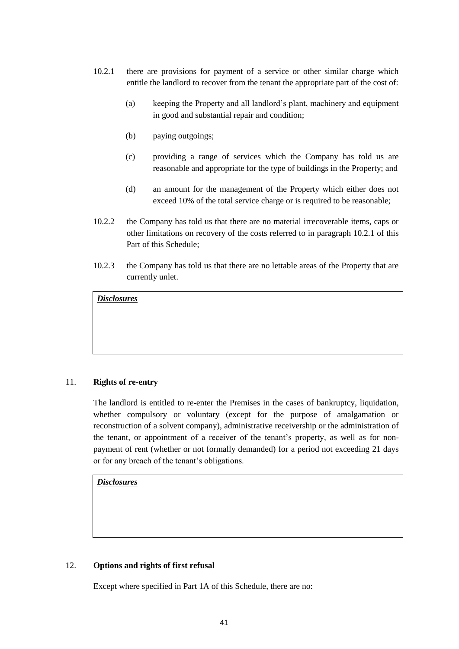- 10.2.1 there are provisions for payment of a service or other similar charge which entitle the landlord to recover from the tenant the appropriate part of the cost of:
	- (a) keeping the Property and all landlord's plant, machinery and equipment in good and substantial repair and condition;
	- (b) paying outgoings;
	- (c) providing a range of services which the Company has told us are reasonable and appropriate for the type of buildings in the Property; and
	- (d) an amount for the management of the Property which either does not exceed 10% of the total service charge or is required to be reasonable;
- 10.2.2 the Company has told us that there are no material irrecoverable items, caps or other limitations on recovery of the costs referred to in paragraph 10.2.1 of this Part of this Schedule;
- 10.2.3 the Company has told us that there are no lettable areas of the Property that are currently unlet.

# 11. **Rights of re-entry**

The landlord is entitled to re-enter the Premises in the cases of bankruptcy, liquidation, whether compulsory or voluntary (except for the purpose of amalgamation or reconstruction of a solvent company), administrative receivership or the administration of the tenant, or appointment of a receiver of the tenant's property, as well as for nonpayment of rent (whether or not formally demanded) for a period not exceeding 21 days or for any breach of the tenant's obligations.

*Disclosures*

# 12. **Options and rights of first refusal**

Except where specified in Part 1A of this Schedule, there are no: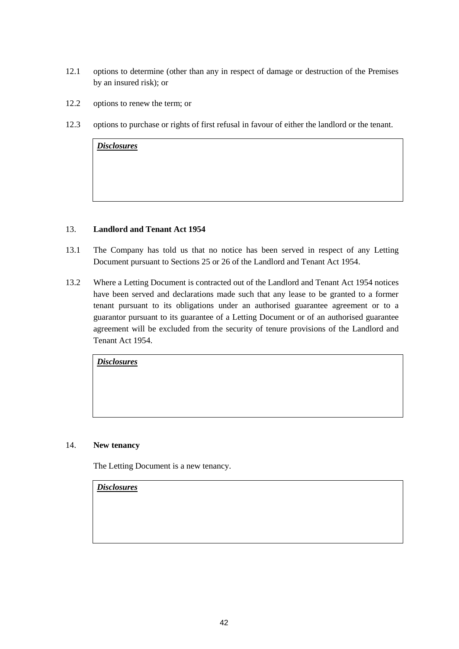- 12.1 options to determine (other than any in respect of damage or destruction of the Premises by an insured risk); or
- 12.2 options to renew the term; or
- 12.3 options to purchase or rights of first refusal in favour of either the landlord or the tenant.

#### 13. **Landlord and Tenant Act 1954**

- 13.1 The Company has told us that no notice has been served in respect of any Letting Document pursuant to Sections 25 or 26 of the Landlord and Tenant Act 1954.
- 13.2 Where a Letting Document is contracted out of the Landlord and Tenant Act 1954 notices have been served and declarations made such that any lease to be granted to a former tenant pursuant to its obligations under an authorised guarantee agreement or to a guarantor pursuant to its guarantee of a Letting Document or of an authorised guarantee agreement will be excluded from the security of tenure provisions of the Landlord and Tenant Act 1954.

*Disclosures*

# 14. **New tenancy**

The Letting Document is a new tenancy.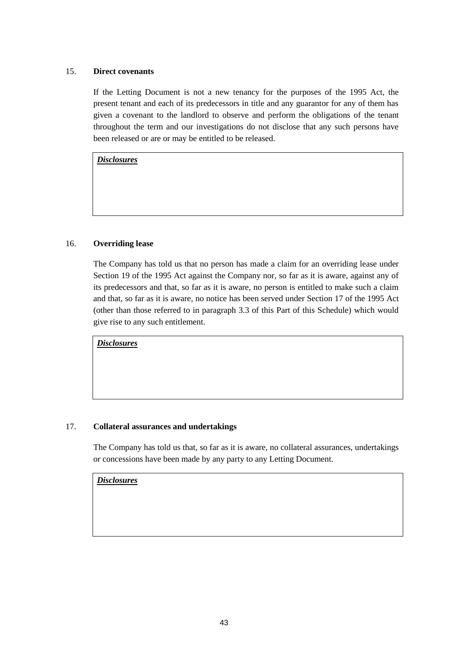# 15. **Direct covenants**

If the Letting Document is not a new tenancy for the purposes of the 1995 Act, the present tenant and each of its predecessors in title and any guarantor for any of them has given a covenant to the landlord to observe and perform the obligations of the tenant throughout the term and our investigations do not disclose that any such persons have been released or are or may be entitled to be released.

*Disclosures*

# 16. **Overriding lease**

The Company has told us that no person has made a claim for an overriding lease under Section 19 of the 1995 Act against the Company nor, so far as it is aware, against any of its predecessors and that, so far as it is aware, no person is entitled to make such a claim and that, so far as it is aware, no notice has been served under Section 17 of the 1995 Act (other than those referred to in paragraph 3.3 of this Part of this Schedule) which would give rise to any such entitlement.

*Disclosures*

#### 17. **Collateral assurances and undertakings**

The Company has told us that, so far as it is aware, no collateral assurances, undertakings or concessions have been made by any party to any Letting Document.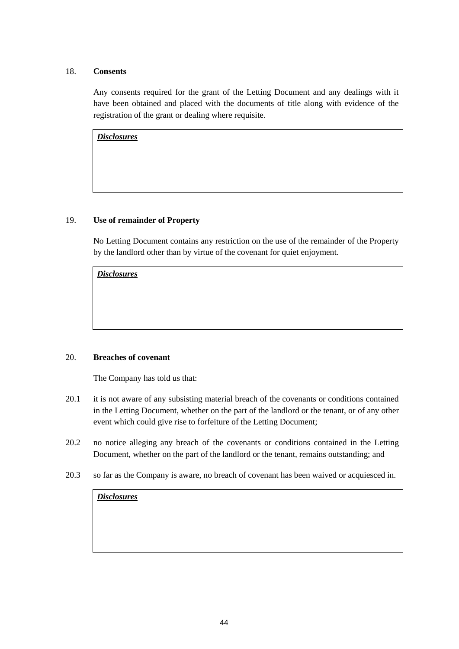# 18. **Consents**

Any consents required for the grant of the Letting Document and any dealings with it have been obtained and placed with the documents of title along with evidence of the registration of the grant or dealing where requisite.

*Disclosures*

#### 19. **Use of remainder of Property**

No Letting Document contains any restriction on the use of the remainder of the Property by the landlord other than by virtue of the covenant for quiet enjoyment.

*Disclosures*

#### 20. **Breaches of covenant**

The Company has told us that:

- 20.1 it is not aware of any subsisting material breach of the covenants or conditions contained in the Letting Document, whether on the part of the landlord or the tenant, or of any other event which could give rise to forfeiture of the Letting Document;
- 20.2 no notice alleging any breach of the covenants or conditions contained in the Letting Document, whether on the part of the landlord or the tenant, remains outstanding; and
- 20.3 so far as the Company is aware, no breach of covenant has been waived or acquiesced in.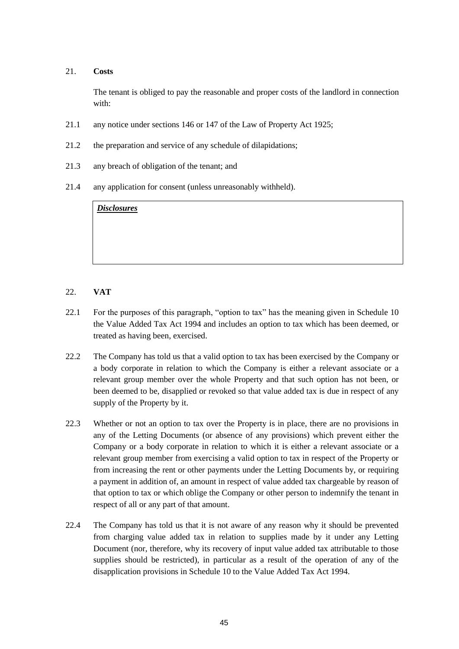#### 21. **Costs**

The tenant is obliged to pay the reasonable and proper costs of the landlord in connection with:

- 21.1 any notice under sections 146 or 147 of the Law of Property Act 1925;
- 21.2 the preparation and service of any schedule of dilapidations;
- 21.3 any breach of obligation of the tenant; and
- 21.4 any application for consent (unless unreasonably withheld).

*Disclosures*

# 22. **VAT**

- 22.1 For the purposes of this paragraph, "option to tax" has the meaning given in Schedule 10 the Value Added Tax Act 1994 and includes an option to tax which has been deemed, or treated as having been, exercised.
- 22.2 The Company has told us that a valid option to tax has been exercised by the Company or a body corporate in relation to which the Company is either a relevant associate or a relevant group member over the whole Property and that such option has not been, or been deemed to be, disapplied or revoked so that value added tax is due in respect of any supply of the Property by it.
- 22.3 Whether or not an option to tax over the Property is in place, there are no provisions in any of the Letting Documents (or absence of any provisions) which prevent either the Company or a body corporate in relation to which it is either a relevant associate or a relevant group member from exercising a valid option to tax in respect of the Property or from increasing the rent or other payments under the Letting Documents by, or requiring a payment in addition of, an amount in respect of value added tax chargeable by reason of that option to tax or which oblige the Company or other person to indemnify the tenant in respect of all or any part of that amount.
- 22.4 The Company has told us that it is not aware of any reason why it should be prevented from charging value added tax in relation to supplies made by it under any Letting Document (nor, therefore, why its recovery of input value added tax attributable to those supplies should be restricted), in particular as a result of the operation of any of the disapplication provisions in Schedule 10 to the Value Added Tax Act 1994.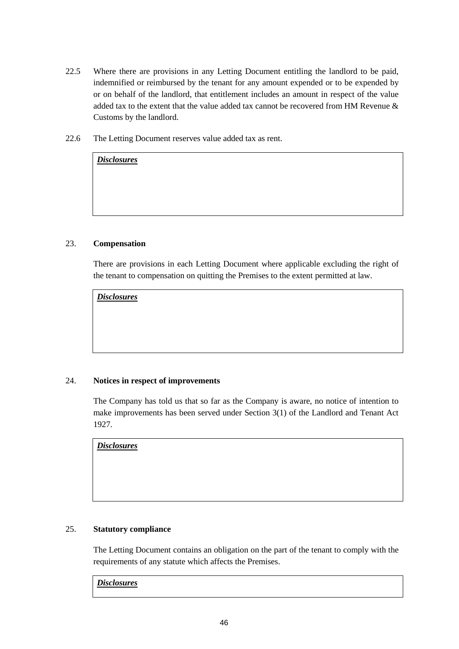- 22.5 Where there are provisions in any Letting Document entitling the landlord to be paid, indemnified or reimbursed by the tenant for any amount expended or to be expended by or on behalf of the landlord, that entitlement includes an amount in respect of the value added tax to the extent that the value added tax cannot be recovered from HM Revenue & Customs by the landlord.
- 22.6 The Letting Document reserves value added tax as rent.

# 23. **Compensation**

*Disclosures*

There are provisions in each Letting Document where applicable excluding the right of the tenant to compensation on quitting the Premises to the extent permitted at law.

*Disclosures*

# 24. **Notices in respect of improvements**

The Company has told us that so far as the Company is aware, no notice of intention to make improvements has been served under Section 3(1) of the Landlord and Tenant Act 1927.

*Disclosures*

# 25. **Statutory compliance**

The Letting Document contains an obligation on the part of the tenant to comply with the requirements of any statute which affects the Premises.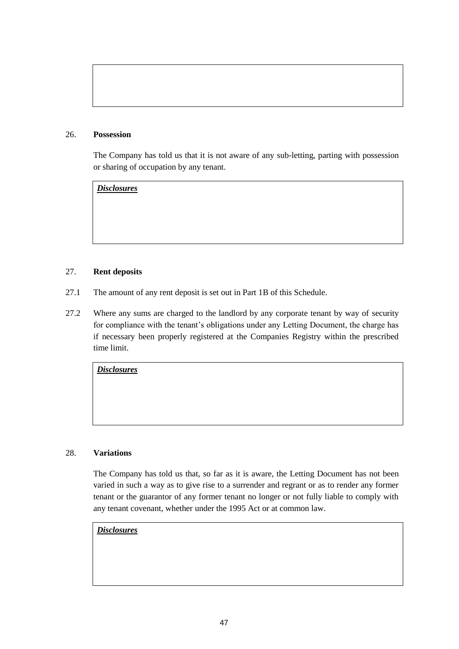#### 26. **Possession**

The Company has told us that it is not aware of any sub-letting, parting with possession or sharing of occupation by any tenant.

*Disclosures*

# 27. **Rent deposits**

- 27.1 The amount of any rent deposit is set out in Part 1B of this Schedule.
- 27.2 Where any sums are charged to the landlord by any corporate tenant by way of security for compliance with the tenant's obligations under any Letting Document, the charge has if necessary been properly registered at the Companies Registry within the prescribed time limit.

*Disclosures*

# 28. **Variations**

The Company has told us that, so far as it is aware, the Letting Document has not been varied in such a way as to give rise to a surrender and regrant or as to render any former tenant or the guarantor of any former tenant no longer or not fully liable to comply with any tenant covenant, whether under the 1995 Act or at common law.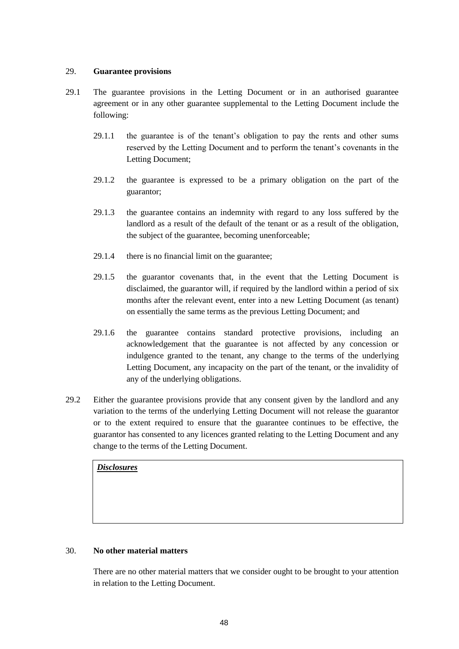#### 29. **Guarantee provisions**

- 29.1 The guarantee provisions in the Letting Document or in an authorised guarantee agreement or in any other guarantee supplemental to the Letting Document include the following:
	- 29.1.1 the guarantee is of the tenant's obligation to pay the rents and other sums reserved by the Letting Document and to perform the tenant's covenants in the Letting Document;
	- 29.1.2 the guarantee is expressed to be a primary obligation on the part of the guarantor;
	- 29.1.3 the guarantee contains an indemnity with regard to any loss suffered by the landlord as a result of the default of the tenant or as a result of the obligation, the subject of the guarantee, becoming unenforceable;
	- 29.1.4 there is no financial limit on the guarantee;
	- 29.1.5 the guarantor covenants that, in the event that the Letting Document is disclaimed, the guarantor will, if required by the landlord within a period of six months after the relevant event, enter into a new Letting Document (as tenant) on essentially the same terms as the previous Letting Document; and
	- 29.1.6 the guarantee contains standard protective provisions, including an acknowledgement that the guarantee is not affected by any concession or indulgence granted to the tenant, any change to the terms of the underlying Letting Document, any incapacity on the part of the tenant, or the invalidity of any of the underlying obligations.
- 29.2 Either the guarantee provisions provide that any consent given by the landlord and any variation to the terms of the underlying Letting Document will not release the guarantor or to the extent required to ensure that the guarantee continues to be effective, the guarantor has consented to any licences granted relating to the Letting Document and any change to the terms of the Letting Document.

*Disclosures*

#### 30. **No other material matters**

There are no other material matters that we consider ought to be brought to your attention in relation to the Letting Document.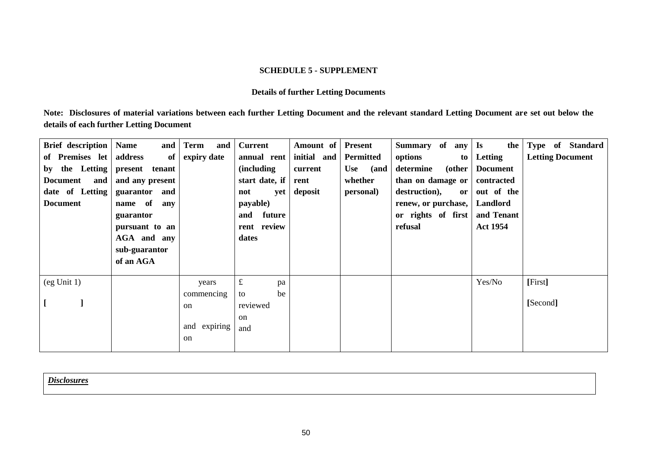## **SCHEDULE 5 - SUPPLEMENT**

# **Details of further Letting Documents**

**Note: Disclosures of material variations between each further Letting Document and the relevant standard Letting Document are set out below the details of each further Letting Document**

<span id="page-51-0"></span>

| Brief description<br>of Premises let<br>the Letting<br>by<br><b>Document</b><br>and<br>date of Letting<br><b>Document</b> | <b>Name</b><br>and<br>address<br>of<br>present<br>tenant<br>and any present<br>guarantor and<br>name of<br>any<br>guarantor<br>pursuant to an<br>AGA and any<br>sub-guarantor<br>of an AGA | <b>Term</b><br>and<br>expiry date                                     | <b>Current</b><br>annual rent<br>(including<br>start date, if<br>not<br>yet<br>payable)<br>future<br>and<br>rent review<br>dates | Amount of<br>initial and<br>current<br>rent<br>deposit | <b>Present</b><br>Permitted<br>Use<br>(and<br>whether<br>personal) | Summary of<br>any<br>options<br>to<br>determine<br>(other<br>than on damage or<br>destruction),<br>or<br>renew, or purchase,<br>or rights of first<br>refusal | $\mathbf{I}$ s<br>the  <br>Letting<br><b>Document</b><br>contracted<br>out of the<br>Landlord<br>and Tenant<br><b>Act 1954</b> | Type of Standard<br><b>Letting Document</b> |
|---------------------------------------------------------------------------------------------------------------------------|--------------------------------------------------------------------------------------------------------------------------------------------------------------------------------------------|-----------------------------------------------------------------------|----------------------------------------------------------------------------------------------------------------------------------|--------------------------------------------------------|--------------------------------------------------------------------|---------------------------------------------------------------------------------------------------------------------------------------------------------------|--------------------------------------------------------------------------------------------------------------------------------|---------------------------------------------|
| (eg Unit 1)                                                                                                               |                                                                                                                                                                                            | years<br>commencing<br><sub>on</sub><br>and expiring<br><sub>on</sub> | $\pounds$<br>pa<br>be<br>to<br>reviewed<br><sub>on</sub><br>and                                                                  |                                                        |                                                                    |                                                                                                                                                               | Yes/No                                                                                                                         | [First]<br>[Second]                         |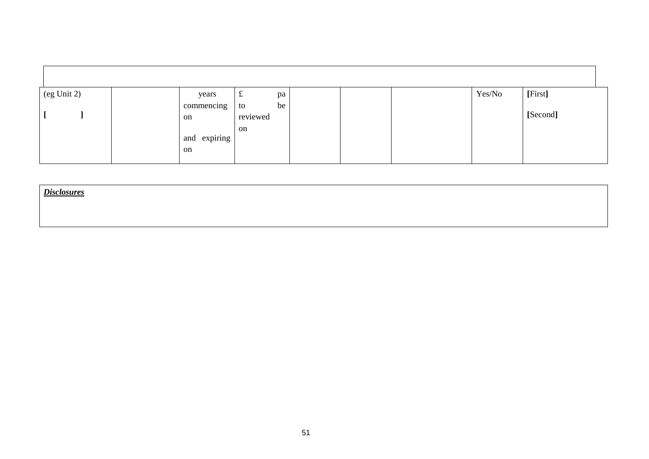| (eg Unit 2) | years        | pa<br>$\mathbf t$    |  | Yes/No | [First]  |
|-------------|--------------|----------------------|--|--------|----------|
|             | commencing   | be<br>to<br>reviewed |  |        | [Second] |
|             | on           | on                   |  |        |          |
|             | and expiring |                      |  |        |          |
|             | on           |                      |  |        |          |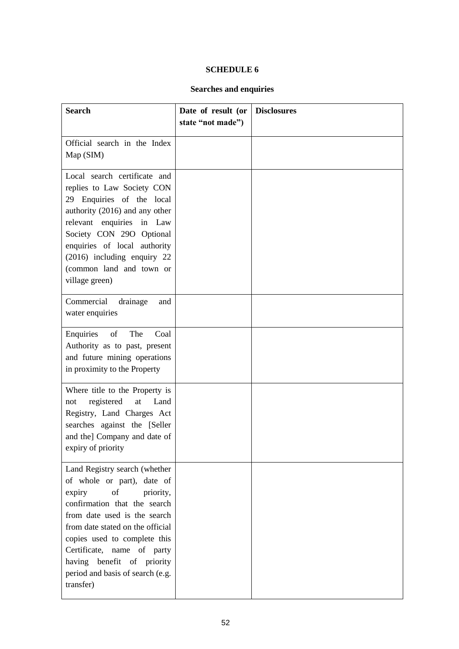# **SCHEDULE 6**

# **Searches and enquiries**

<span id="page-53-1"></span><span id="page-53-0"></span>

| <b>Search</b>                                                                                                                                                                                                                                                                                                                             | Date of result (or<br>state "not made") | <b>Disclosures</b> |
|-------------------------------------------------------------------------------------------------------------------------------------------------------------------------------------------------------------------------------------------------------------------------------------------------------------------------------------------|-----------------------------------------|--------------------|
| Official search in the Index<br>Map (SIM)                                                                                                                                                                                                                                                                                                 |                                         |                    |
| Local search certificate and<br>replies to Law Society CON<br>29 Enquiries of the local<br>authority (2016) and any other<br>relevant enquiries in Law<br>Society CON 29O Optional<br>enquiries of local authority<br>(2016) including enquiry 22<br>(common land and town or<br>village green)                                           |                                         |                    |
| Commercial<br>drainage<br>and<br>water enquiries                                                                                                                                                                                                                                                                                          |                                         |                    |
| Enquiries<br>of<br>The<br>Coal<br>Authority as to past, present<br>and future mining operations<br>in proximity to the Property                                                                                                                                                                                                           |                                         |                    |
| Where title to the Property is<br>registered<br>Land<br>$\operatorname{at}$<br>not<br>Registry, Land Charges Act<br>searches against the [Seller<br>and the] Company and date of<br>expiry of priority                                                                                                                                    |                                         |                    |
| Land Registry search (whether<br>of whole or part), date of<br>of<br>expiry<br>priority,<br>confirmation that the search<br>from date used is the search<br>from date stated on the official<br>copies used to complete this<br>Certificate, name of party<br>having benefit of priority<br>period and basis of search (e.g.<br>transfer) |                                         |                    |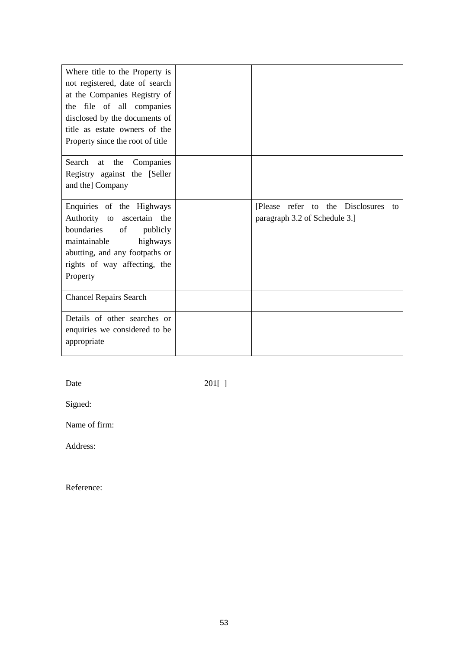| Where title to the Property is<br>not registered, date of search<br>at the Companies Registry of<br>the file of all companies<br>disclosed by the documents of<br>title as estate owners of the<br>Property since the root of title |                                                                          |
|-------------------------------------------------------------------------------------------------------------------------------------------------------------------------------------------------------------------------------------|--------------------------------------------------------------------------|
| Search at the<br>Companies<br>Registry against the [Seller<br>and the] Company                                                                                                                                                      |                                                                          |
| Enquiries of the Highways<br>Authority to ascertain the<br>boundaries<br>of<br>publicly<br>maintainable<br>highways<br>abutting, and any footpaths or<br>rights of way affecting, the<br>Property                                   | [Please refer to the Disclosures]<br>to<br>paragraph 3.2 of Schedule 3.] |
| <b>Chancel Repairs Search</b>                                                                                                                                                                                                       |                                                                          |
| Details of other searches or<br>enquiries we considered to be<br>appropriate                                                                                                                                                        |                                                                          |

Date 201[ ]

Signed:

Name of firm:

Address:

Reference: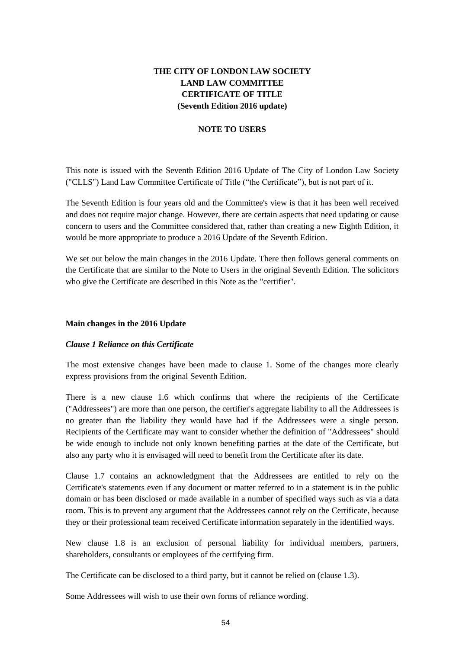# **THE CITY OF LONDON LAW SOCIETY LAND LAW COMMITTEE CERTIFICATE OF TITLE (Seventh Edition 2016 update)**

#### **NOTE TO USERS**

This note is issued with the Seventh Edition 2016 Update of The City of London Law Society ("CLLS") Land Law Committee Certificate of Title ("the Certificate"), but is not part of it.

The Seventh Edition is four years old and the Committee's view is that it has been well received and does not require major change. However, there are certain aspects that need updating or cause concern to users and the Committee considered that, rather than creating a new Eighth Edition, it would be more appropriate to produce a 2016 Update of the Seventh Edition.

We set out below the main changes in the 2016 Update. There then follows general comments on the Certificate that are similar to the Note to Users in the original Seventh Edition. The solicitors who give the Certificate are described in this Note as the "certifier".

#### **Main changes in the 2016 Update**

#### *Clause 1 Reliance on this Certificate*

The most extensive changes have been made to clause 1. Some of the changes more clearly express provisions from the original Seventh Edition.

There is a new clause 1.6 which confirms that where the recipients of the Certificate ("Addressees") are more than one person, the certifier's aggregate liability to all the Addressees is no greater than the liability they would have had if the Addressees were a single person. Recipients of the Certificate may want to consider whether the definition of "Addressees" should be wide enough to include not only known benefiting parties at the date of the Certificate, but also any party who it is envisaged will need to benefit from the Certificate after its date.

Clause 1.7 contains an acknowledgment that the Addressees are entitled to rely on the Certificate's statements even if any document or matter referred to in a statement is in the public domain or has been disclosed or made available in a number of specified ways such as via a data room. This is to prevent any argument that the Addressees cannot rely on the Certificate, because they or their professional team received Certificate information separately in the identified ways.

New clause 1.8 is an exclusion of personal liability for individual members, partners, shareholders, consultants or employees of the certifying firm.

The Certificate can be disclosed to a third party, but it cannot be relied on (clause 1.3).

Some Addressees will wish to use their own forms of reliance wording.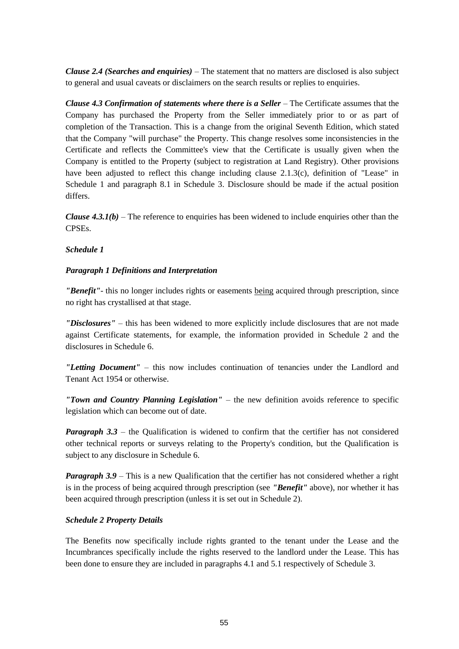*Clause 2.4 (Searches and enquiries)* – The statement that no matters are disclosed is also subject to general and usual caveats or disclaimers on the search results or replies to enquiries.

*Clause 4.3 Confirmation of statements where there is a Seller* – The Certificate assumes that the Company has purchased the Property from the Seller immediately prior to or as part of completion of the Transaction. This is a change from the original Seventh Edition, which stated that the Company "will purchase" the Property. This change resolves some inconsistencies in the Certificate and reflects the Committee's view that the Certificate is usually given when the Company is entitled to the Property (subject to registration at Land Registry). Other provisions have been adjusted to reflect this change including clause 2.1.3(c), definition of "Lease" in Schedule 1 and paragraph 8.1 in Schedule 3. Disclosure should be made if the actual position differs.

*Clause 4.3.1(b)* – The reference to enquiries has been widened to include enquiries other than the CPSEs.

#### *Schedule 1*

#### *Paragraph 1 Definitions and Interpretation*

*"Benefit"*- this no longer includes rights or easements being acquired through prescription, since no right has crystallised at that stage.

*"Disclosures"* – this has been widened to more explicitly include disclosures that are not made against Certificate statements, for example, the information provided in Schedule 2 and the disclosures in Schedule 6.

*"Letting Document"* – this now includes continuation of tenancies under the Landlord and Tenant Act 1954 or otherwise.

*"Town and Country Planning Legislation"* – the new definition avoids reference to specific legislation which can become out of date.

*Paragraph 3.3* – the Qualification is widened to confirm that the certifier has not considered other technical reports or surveys relating to the Property's condition, but the Qualification is subject to any disclosure in Schedule 6.

*Paragraph 3.9* – This is a new Qualification that the certifier has not considered whether a right is in the process of being acquired through prescription (see *"Benefit"* above), nor whether it has been acquired through prescription (unless it is set out in Schedule 2).

#### *Schedule 2 Property Details*

The Benefits now specifically include rights granted to the tenant under the Lease and the Incumbrances specifically include the rights reserved to the landlord under the Lease. This has been done to ensure they are included in paragraphs 4.1 and 5.1 respectively of Schedule 3.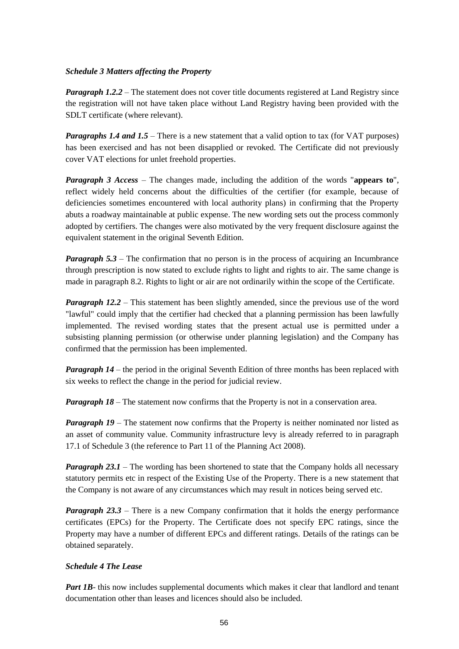#### *Schedule 3 Matters affecting the Property*

*Paragraph 1.2.2* – The statement does not cover title documents registered at Land Registry since the registration will not have taken place without Land Registry having been provided with the SDLT certificate (where relevant).

*Paragraphs 1.4 and 1.5* – There is a new statement that a valid option to tax (for VAT purposes) has been exercised and has not been disapplied or revoked. The Certificate did not previously cover VAT elections for unlet freehold properties.

*Paragraph 3 Access* – The changes made, including the addition of the words "**appears to**", reflect widely held concerns about the difficulties of the certifier (for example, because of deficiencies sometimes encountered with local authority plans) in confirming that the Property abuts a roadway maintainable at public expense. The new wording sets out the process commonly adopted by certifiers. The changes were also motivated by the very frequent disclosure against the equivalent statement in the original Seventh Edition.

*Paragraph 5.3* – The confirmation that no person is in the process of acquiring an Incumbrance through prescription is now stated to exclude rights to light and rights to air. The same change is made in paragraph 8.2. Rights to light or air are not ordinarily within the scope of the Certificate.

*Paragraph 12.2 –* This statement has been slightly amended, since the previous use of the word "lawful" could imply that the certifier had checked that a planning permission has been lawfully implemented. The revised wording states that the present actual use is permitted under a subsisting planning permission (or otherwise under planning legislation) and the Company has confirmed that the permission has been implemented.

*Paragraph 14* – the period in the original Seventh Edition of three months has been replaced with six weeks to reflect the change in the period for judicial review.

*Paragraph 18* – The statement now confirms that the Property is not in a conservation area.

*Paragraph 19* – The statement now confirms that the Property is neither nominated nor listed as an asset of community value. Community infrastructure levy is already referred to in paragraph 17.1 of Schedule 3 (the reference to Part 11 of the Planning Act 2008).

*Paragraph 23.1* – The wording has been shortened to state that the Company holds all necessary statutory permits etc in respect of the Existing Use of the Property. There is a new statement that the Company is not aware of any circumstances which may result in notices being served etc.

*Paragraph 23.3 – There is a new Company confirmation that it holds the energy performance* certificates (EPCs) for the Property. The Certificate does not specify EPC ratings, since the Property may have a number of different EPCs and different ratings. Details of the ratings can be obtained separately.

# *Schedule 4 The Lease*

*Part 1B*- this now includes supplemental documents which makes it clear that landlord and tenant documentation other than leases and licences should also be included.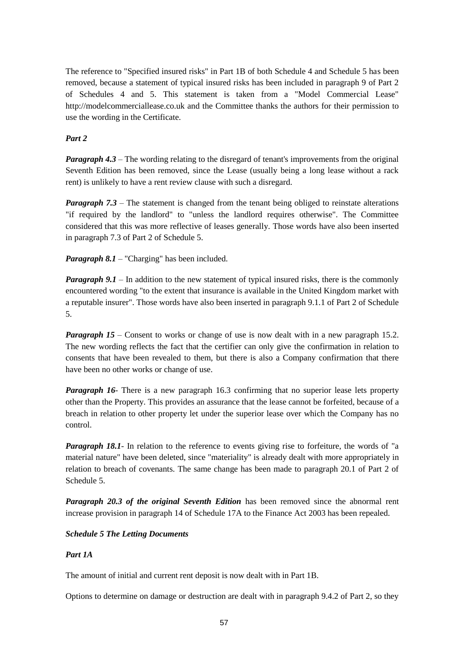The reference to "Specified insured risks" in Part 1B of both Schedule 4 and Schedule 5 has been removed, because a statement of typical insured risks has been included in paragraph 9 of Part 2 of Schedules 4 and 5. This statement is taken from a "Model Commercial Lease" http://modelcommerciallease.co.uk and the Committee thanks the authors for their permission to use the wording in the Certificate.

# *Part 2*

*Paragraph 4.3* – The wording relating to the disregard of tenant's improvements from the original Seventh Edition has been removed, since the Lease (usually being a long lease without a rack rent) is unlikely to have a rent review clause with such a disregard.

*Paragraph 7.3* – The statement is changed from the tenant being obliged to reinstate alterations "if required by the landlord" to "unless the landlord requires otherwise". The Committee considered that this was more reflective of leases generally. Those words have also been inserted in paragraph 7.3 of Part 2 of Schedule 5.

*Paragraph 8.1* – "Charging" has been included.

*Paragraph 9.1* – In addition to the new statement of typical insured risks, there is the commonly encountered wording "to the extent that insurance is available in the United Kingdom market with a reputable insurer". Those words have also been inserted in paragraph 9.1.1 of Part 2 of Schedule 5.

*Paragraph 15* – Consent to works or change of use is now dealt with in a new paragraph 15.2. The new wording reflects the fact that the certifier can only give the confirmation in relation to consents that have been revealed to them, but there is also a Company confirmation that there have been no other works or change of use.

*Paragraph 16*- There is a new paragraph 16.3 confirming that no superior lease lets property other than the Property. This provides an assurance that the lease cannot be forfeited, because of a breach in relation to other property let under the superior lease over which the Company has no control.

*Paragraph 18.1*- In relation to the reference to events giving rise to forfeiture, the words of "a material nature" have been deleted, since "materiality" is already dealt with more appropriately in relation to breach of covenants. The same change has been made to paragraph 20.1 of Part 2 of Schedule 5.

*Paragraph 20.3 of the original Seventh Edition* has been removed since the abnormal rent increase provision in paragraph 14 of Schedule 17A to the Finance Act 2003 has been repealed.

#### *Schedule 5 The Letting Documents*

#### *Part 1A*

The amount of initial and current rent deposit is now dealt with in Part 1B.

Options to determine on damage or destruction are dealt with in paragraph 9.4.2 of Part 2, so they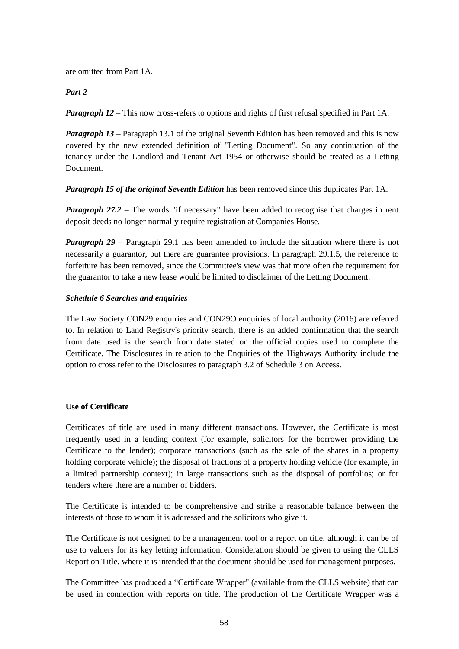are omitted from Part 1A.

# *Part 2*

*Paragraph 12* – This now cross-refers to options and rights of first refusal specified in Part 1A.

*Paragraph 13* – Paragraph 13.1 of the original Seventh Edition has been removed and this is now covered by the new extended definition of "Letting Document". So any continuation of the tenancy under the Landlord and Tenant Act 1954 or otherwise should be treated as a Letting Document.

*Paragraph 15 of the original Seventh Edition* has been removed since this duplicates Part 1A.

*Paragraph 27.2 – The words* "if necessary" have been added to recognise that charges in rent deposit deeds no longer normally require registration at Companies House.

*Paragraph 29* – Paragraph 29.1 has been amended to include the situation where there is not necessarily a guarantor, but there are guarantee provisions. In paragraph 29.1.5, the reference to forfeiture has been removed, since the Committee's view was that more often the requirement for the guarantor to take a new lease would be limited to disclaimer of the Letting Document.

# *Schedule 6 Searches and enquiries*

The Law Society CON29 enquiries and CON29O enquiries of local authority (2016) are referred to. In relation to Land Registry's priority search, there is an added confirmation that the search from date used is the search from date stated on the official copies used to complete the Certificate. The Disclosures in relation to the Enquiries of the Highways Authority include the option to cross refer to the Disclosures to paragraph 3.2 of Schedule 3 on Access.

# **Use of Certificate**

Certificates of title are used in many different transactions. However, the Certificate is most frequently used in a lending context (for example, solicitors for the borrower providing the Certificate to the lender); corporate transactions (such as the sale of the shares in a property holding corporate vehicle); the disposal of fractions of a property holding vehicle (for example, in a limited partnership context); in large transactions such as the disposal of portfolios; or for tenders where there are a number of bidders.

The Certificate is intended to be comprehensive and strike a reasonable balance between the interests of those to whom it is addressed and the solicitors who give it.

The Certificate is not designed to be a management tool or a report on title, although it can be of use to valuers for its key letting information. Consideration should be given to using the CLLS Report on Title, where it is intended that the document should be used for management purposes.

The Committee has produced a "Certificate Wrapper" (available from the CLLS website) that can be used in connection with reports on title. The production of the Certificate Wrapper was a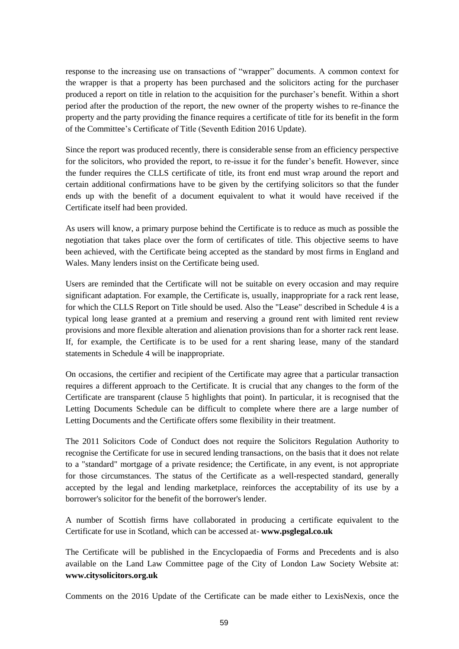response to the increasing use on transactions of "wrapper" documents. A common context for the wrapper is that a property has been purchased and the solicitors acting for the purchaser produced a report on title in relation to the acquisition for the purchaser's benefit. Within a short period after the production of the report, the new owner of the property wishes to re-finance the property and the party providing the finance requires a certificate of title for its benefit in the form of the Committee's Certificate of Title (Seventh Edition 2016 Update).

Since the report was produced recently, there is considerable sense from an efficiency perspective for the solicitors, who provided the report, to re-issue it for the funder's benefit. However, since the funder requires the CLLS certificate of title, its front end must wrap around the report and certain additional confirmations have to be given by the certifying solicitors so that the funder ends up with the benefit of a document equivalent to what it would have received if the Certificate itself had been provided.

As users will know, a primary purpose behind the Certificate is to reduce as much as possible the negotiation that takes place over the form of certificates of title. This objective seems to have been achieved, with the Certificate being accepted as the standard by most firms in England and Wales. Many lenders insist on the Certificate being used.

Users are reminded that the Certificate will not be suitable on every occasion and may require significant adaptation. For example, the Certificate is, usually, inappropriate for a rack rent lease, for which the CLLS Report on Title should be used. Also the "Lease" described in Schedule 4 is a typical long lease granted at a premium and reserving a ground rent with limited rent review provisions and more flexible alteration and alienation provisions than for a shorter rack rent lease. If, for example, the Certificate is to be used for a rent sharing lease, many of the standard statements in Schedule 4 will be inappropriate.

On occasions, the certifier and recipient of the Certificate may agree that a particular transaction requires a different approach to the Certificate. It is crucial that any changes to the form of the Certificate are transparent (clause 5 highlights that point). In particular, it is recognised that the Letting Documents Schedule can be difficult to complete where there are a large number of Letting Documents and the Certificate offers some flexibility in their treatment.

The 2011 Solicitors Code of Conduct does not require the Solicitors Regulation Authority to recognise the Certificate for use in secured lending transactions, on the basis that it does not relate to a "standard" mortgage of a private residence; the Certificate, in any event, is not appropriate for those circumstances. The status of the Certificate as a well-respected standard, generally accepted by the legal and lending marketplace, reinforces the acceptability of its use by a borrower's solicitor for the benefit of the borrower's lender.

A number of Scottish firms have collaborated in producing a certificate equivalent to the Certificate for use in Scotland, which can be accessed at- **www.psglegal.co.uk**

The Certificate will be published in the Encyclopaedia of Forms and Precedents and is also available on the Land Law Committee page of the City of London Law Society Website at: **www.citysolicitors.org.uk**

Comments on the 2016 Update of the Certificate can be made either to LexisNexis, once the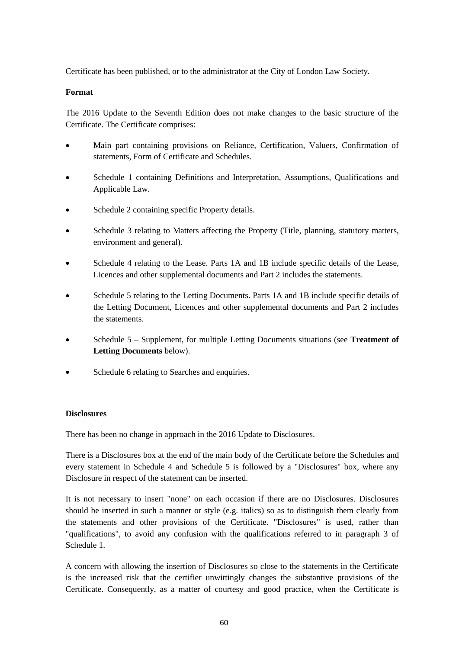Certificate has been published, or to the administrator at the City of London Law Society.

# **Format**

The 2016 Update to the Seventh Edition does not make changes to the basic structure of the Certificate. The Certificate comprises:

- Main part containing provisions on Reliance, Certification, Valuers, Confirmation of statements, Form of Certificate and Schedules.
- Schedule 1 containing Definitions and Interpretation, Assumptions, Qualifications and Applicable Law.
- Schedule 2 containing specific Property details.
- Schedule 3 relating to Matters affecting the Property (Title, planning, statutory matters, environment and general).
- Schedule 4 relating to the Lease. Parts 1A and 1B include specific details of the Lease, Licences and other supplemental documents and Part 2 includes the statements.
- Schedule 5 relating to the Letting Documents. Parts 1A and 1B include specific details of the Letting Document, Licences and other supplemental documents and Part 2 includes the statements.
- Schedule 5 Supplement, for multiple Letting Documents situations (see **Treatment of Letting Documents** below).
- Schedule 6 relating to Searches and enquiries.

# **Disclosures**

There has been no change in approach in the 2016 Update to Disclosures.

There is a Disclosures box at the end of the main body of the Certificate before the Schedules and every statement in Schedule 4 and Schedule 5 is followed by a "Disclosures" box, where any Disclosure in respect of the statement can be inserted.

It is not necessary to insert "none" on each occasion if there are no Disclosures. Disclosures should be inserted in such a manner or style (e.g. italics) so as to distinguish them clearly from the statements and other provisions of the Certificate. "Disclosures" is used, rather than "qualifications", to avoid any confusion with the qualifications referred to in paragraph 3 of Schedule 1.

A concern with allowing the insertion of Disclosures so close to the statements in the Certificate is the increased risk that the certifier unwittingly changes the substantive provisions of the Certificate. Consequently, as a matter of courtesy and good practice, when the Certificate is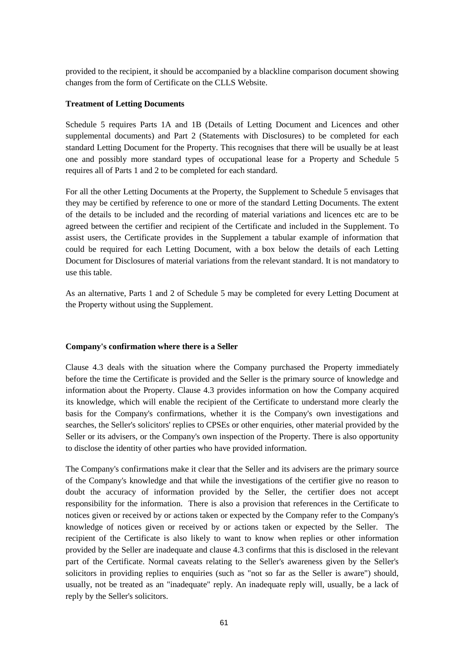provided to the recipient, it should be accompanied by a blackline comparison document showing changes from the form of Certificate on the CLLS Website.

# **Treatment of Letting Documents**

Schedule 5 requires Parts 1A and 1B (Details of Letting Document and Licences and other supplemental documents) and Part 2 (Statements with Disclosures) to be completed for each standard Letting Document for the Property. This recognises that there will be usually be at least one and possibly more standard types of occupational lease for a Property and Schedule 5 requires all of Parts 1 and 2 to be completed for each standard.

For all the other Letting Documents at the Property, the Supplement to Schedule 5 envisages that they may be certified by reference to one or more of the standard Letting Documents. The extent of the details to be included and the recording of material variations and licences etc are to be agreed between the certifier and recipient of the Certificate and included in the Supplement. To assist users, the Certificate provides in the Supplement a tabular example of information that could be required for each Letting Document, with a box below the details of each Letting Document for Disclosures of material variations from the relevant standard. It is not mandatory to use this table.

As an alternative, Parts 1 and 2 of Schedule 5 may be completed for every Letting Document at the Property without using the Supplement.

#### **Company's confirmation where there is a Seller**

Clause 4.3 deals with the situation where the Company purchased the Property immediately before the time the Certificate is provided and the Seller is the primary source of knowledge and information about the Property. Clause 4.3 provides information on how the Company acquired its knowledge, which will enable the recipient of the Certificate to understand more clearly the basis for the Company's confirmations, whether it is the Company's own investigations and searches, the Seller's solicitors' replies to CPSEs or other enquiries, other material provided by the Seller or its advisers, or the Company's own inspection of the Property. There is also opportunity to disclose the identity of other parties who have provided information.

The Company's confirmations make it clear that the Seller and its advisers are the primary source of the Company's knowledge and that while the investigations of the certifier give no reason to doubt the accuracy of information provided by the Seller, the certifier does not accept responsibility for the information. There is also a provision that references in the Certificate to notices given or received by or actions taken or expected by the Company refer to the Company's knowledge of notices given or received by or actions taken or expected by the Seller. The recipient of the Certificate is also likely to want to know when replies or other information provided by the Seller are inadequate and clause 4.3 confirms that this is disclosed in the relevant part of the Certificate. Normal caveats relating to the Seller's awareness given by the Seller's solicitors in providing replies to enquiries (such as "not so far as the Seller is aware") should, usually, not be treated as an "inadequate" reply. An inadequate reply will, usually, be a lack of reply by the Seller's solicitors.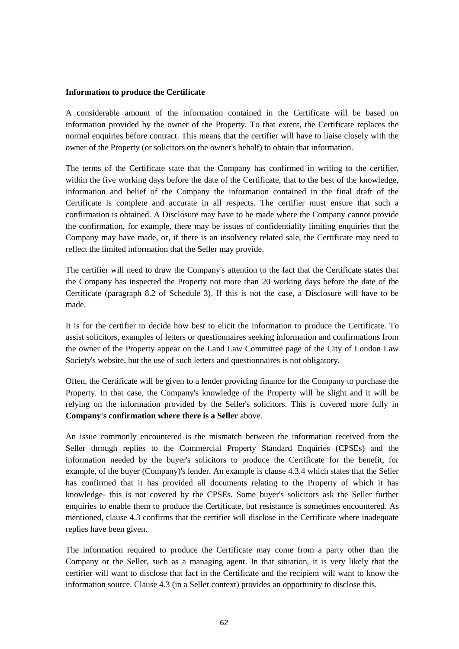#### **Information to produce the Certificate**

A considerable amount of the information contained in the Certificate will be based on information provided by the owner of the Property. To that extent, the Certificate replaces the normal enquiries before contract. This means that the certifier will have to liaise closely with the owner of the Property (or solicitors on the owner's behalf) to obtain that information.

The terms of the Certificate state that the Company has confirmed in writing to the certifier, within the five working days before the date of the Certificate, that to the best of the knowledge, information and belief of the Company the information contained in the final draft of the Certificate is complete and accurate in all respects. The certifier must ensure that such a confirmation is obtained. A Disclosure may have to be made where the Company cannot provide the confirmation, for example, there may be issues of confidentiality limiting enquiries that the Company may have made, or, if there is an insolvency related sale, the Certificate may need to reflect the limited information that the Seller may provide.

The certifier will need to draw the Company's attention to the fact that the Certificate states that the Company has inspected the Property not more than 20 working days before the date of the Certificate (paragraph 8.2 of Schedule 3). If this is not the case, a Disclosure will have to be made.

It is for the certifier to decide how best to elicit the information to produce the Certificate. To assist solicitors, examples of letters or questionnaires seeking information and confirmations from the owner of the Property appear on the Land Law Committee page of the City of London Law Society's website, but the use of such letters and questionnaires is not obligatory.

Often, the Certificate will be given to a lender providing finance for the Company to purchase the Property. In that case, the Company's knowledge of the Property will be slight and it will be relying on the information provided by the Seller's solicitors. This is covered more fully in **Company's confirmation where there is a Seller** above.

An issue commonly encountered is the mismatch between the information received from the Seller through replies to the Commercial Property Standard Enquiries (CPSEs) and the information needed by the buyer's solicitors to produce the Certificate for the benefit, for example, of the buyer (Company)'s lender. An example is clause 4.3.4 which states that the Seller has confirmed that it has provided all documents relating to the Property of which it has knowledge- this is not covered by the CPSEs. Some buyer's solicitors ask the Seller further enquiries to enable them to produce the Certificate, but resistance is sometimes encountered. As mentioned, clause 4.3 confirms that the certifier will disclose in the Certificate where inadequate replies have been given.

The information required to produce the Certificate may come from a party other than the Company or the Seller, such as a managing agent. In that situation, it is very likely that the certifier will want to disclose that fact in the Certificate and the recipient will want to know the information source. Clause 4.3 (in a Seller context) provides an opportunity to disclose this.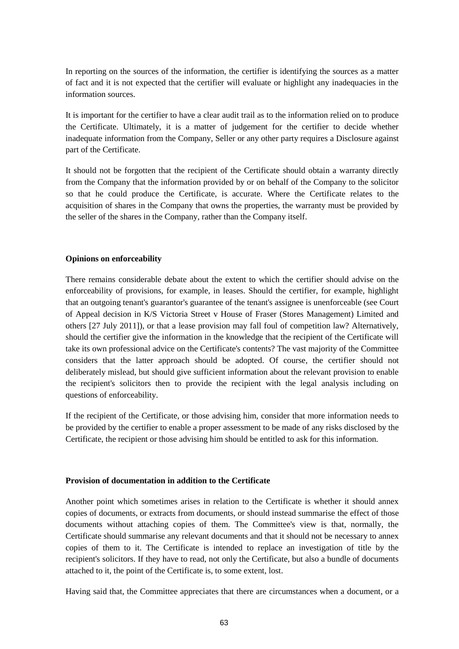In reporting on the sources of the information, the certifier is identifying the sources as a matter of fact and it is not expected that the certifier will evaluate or highlight any inadequacies in the information sources.

It is important for the certifier to have a clear audit trail as to the information relied on to produce the Certificate. Ultimately, it is a matter of judgement for the certifier to decide whether inadequate information from the Company, Seller or any other party requires a Disclosure against part of the Certificate.

It should not be forgotten that the recipient of the Certificate should obtain a warranty directly from the Company that the information provided by or on behalf of the Company to the solicitor so that he could produce the Certificate, is accurate. Where the Certificate relates to the acquisition of shares in the Company that owns the properties, the warranty must be provided by the seller of the shares in the Company, rather than the Company itself.

#### **Opinions on enforceability**

There remains considerable debate about the extent to which the certifier should advise on the enforceability of provisions, for example, in leases. Should the certifier, for example, highlight that an outgoing tenant's guarantor's guarantee of the tenant's assignee is unenforceable (see Court of Appeal decision in K/S Victoria Street v House of Fraser (Stores Management) Limited and others [27 July 2011]), or that a lease provision may fall foul of competition law? Alternatively, should the certifier give the information in the knowledge that the recipient of the Certificate will take its own professional advice on the Certificate's contents? The vast majority of the Committee considers that the latter approach should be adopted. Of course, the certifier should not deliberately mislead, but should give sufficient information about the relevant provision to enable the recipient's solicitors then to provide the recipient with the legal analysis including on questions of enforceability.

If the recipient of the Certificate, or those advising him, consider that more information needs to be provided by the certifier to enable a proper assessment to be made of any risks disclosed by the Certificate, the recipient or those advising him should be entitled to ask for this information.

#### **Provision of documentation in addition to the Certificate**

Another point which sometimes arises in relation to the Certificate is whether it should annex copies of documents, or extracts from documents, or should instead summarise the effect of those documents without attaching copies of them. The Committee's view is that, normally, the Certificate should summarise any relevant documents and that it should not be necessary to annex copies of them to it. The Certificate is intended to replace an investigation of title by the recipient's solicitors. If they have to read, not only the Certificate, but also a bundle of documents attached to it, the point of the Certificate is, to some extent, lost.

Having said that, the Committee appreciates that there are circumstances when a document, or a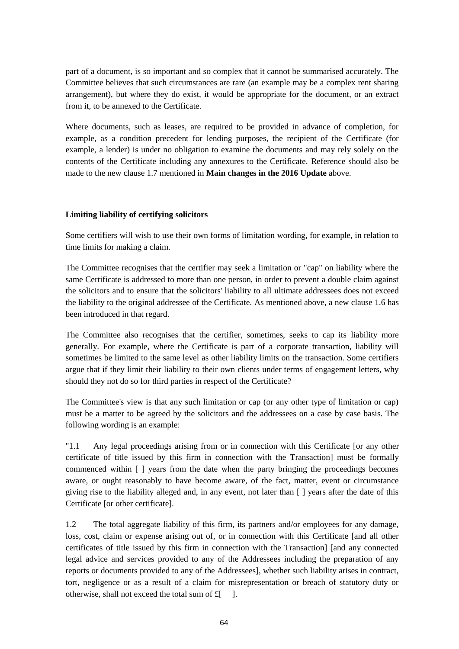part of a document, is so important and so complex that it cannot be summarised accurately. The Committee believes that such circumstances are rare (an example may be a complex rent sharing arrangement), but where they do exist, it would be appropriate for the document, or an extract from it, to be annexed to the Certificate.

Where documents, such as leases, are required to be provided in advance of completion, for example, as a condition precedent for lending purposes, the recipient of the Certificate (for example, a lender) is under no obligation to examine the documents and may rely solely on the contents of the Certificate including any annexures to the Certificate. Reference should also be made to the new clause 1.7 mentioned in **Main changes in the 2016 Update** above.

#### **Limiting liability of certifying solicitors**

Some certifiers will wish to use their own forms of limitation wording, for example, in relation to time limits for making a claim.

The Committee recognises that the certifier may seek a limitation or "cap" on liability where the same Certificate is addressed to more than one person, in order to prevent a double claim against the solicitors and to ensure that the solicitors' liability to all ultimate addressees does not exceed the liability to the original addressee of the Certificate. As mentioned above, a new clause 1.6 has been introduced in that regard.

The Committee also recognises that the certifier, sometimes, seeks to cap its liability more generally. For example, where the Certificate is part of a corporate transaction, liability will sometimes be limited to the same level as other liability limits on the transaction. Some certifiers argue that if they limit their liability to their own clients under terms of engagement letters, why should they not do so for third parties in respect of the Certificate?

The Committee's view is that any such limitation or cap (or any other type of limitation or cap) must be a matter to be agreed by the solicitors and the addressees on a case by case basis. The following wording is an example:

"1.1 Any legal proceedings arising from or in connection with this Certificate [or any other certificate of title issued by this firm in connection with the Transaction] must be formally commenced within [ ] years from the date when the party bringing the proceedings becomes aware, or ought reasonably to have become aware, of the fact, matter, event or circumstance giving rise to the liability alleged and, in any event, not later than [ ] years after the date of this Certificate [or other certificate].

1.2 The total aggregate liability of this firm, its partners and/or employees for any damage, loss, cost, claim or expense arising out of, or in connection with this Certificate [and all other certificates of title issued by this firm in connection with the Transaction] [and any connected legal advice and services provided to any of the Addressees including the preparation of any reports or documents provided to any of the Addressees], whether such liability arises in contract, tort, negligence or as a result of a claim for misrepresentation or breach of statutory duty or otherwise, shall not exceed the total sum of £[ ].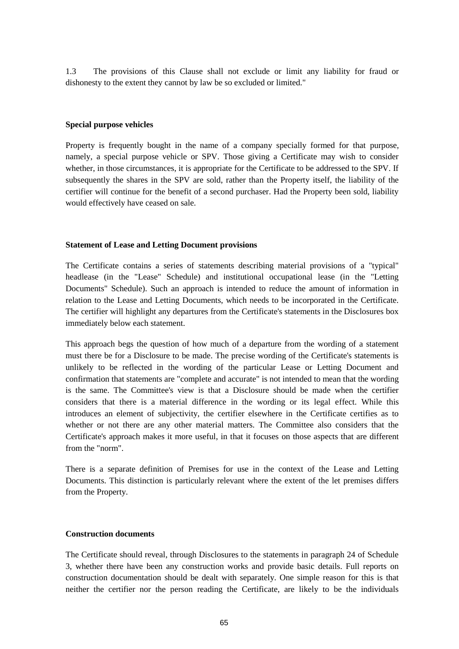1.3 The provisions of this Clause shall not exclude or limit any liability for fraud or dishonesty to the extent they cannot by law be so excluded or limited."

#### **Special purpose vehicles**

Property is frequently bought in the name of a company specially formed for that purpose, namely, a special purpose vehicle or SPV. Those giving a Certificate may wish to consider whether, in those circumstances, it is appropriate for the Certificate to be addressed to the SPV. If subsequently the shares in the SPV are sold, rather than the Property itself, the liability of the certifier will continue for the benefit of a second purchaser. Had the Property been sold, liability would effectively have ceased on sale.

#### **Statement of Lease and Letting Document provisions**

The Certificate contains a series of statements describing material provisions of a "typical" headlease (in the "Lease" Schedule) and institutional occupational lease (in the "Letting Documents" Schedule). Such an approach is intended to reduce the amount of information in relation to the Lease and Letting Documents, which needs to be incorporated in the Certificate. The certifier will highlight any departures from the Certificate's statements in the Disclosures box immediately below each statement.

This approach begs the question of how much of a departure from the wording of a statement must there be for a Disclosure to be made. The precise wording of the Certificate's statements is unlikely to be reflected in the wording of the particular Lease or Letting Document and confirmation that statements are "complete and accurate" is not intended to mean that the wording is the same. The Committee's view is that a Disclosure should be made when the certifier considers that there is a material difference in the wording or its legal effect. While this introduces an element of subjectivity, the certifier elsewhere in the Certificate certifies as to whether or not there are any other material matters. The Committee also considers that the Certificate's approach makes it more useful, in that it focuses on those aspects that are different from the "norm".

There is a separate definition of Premises for use in the context of the Lease and Letting Documents. This distinction is particularly relevant where the extent of the let premises differs from the Property.

#### **Construction documents**

The Certificate should reveal, through Disclosures to the statements in paragraph 24 of Schedule 3, whether there have been any construction works and provide basic details. Full reports on construction documentation should be dealt with separately. One simple reason for this is that neither the certifier nor the person reading the Certificate, are likely to be the individuals